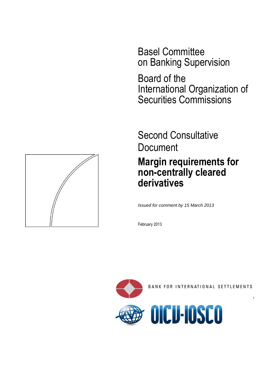Basel Committee on Banking Supervision

Board of the International Organization of Securities Commissions

Second Consultative Document **Margin requirements for non-centrally cleared derivatives**

*Issued for comment by 15 March 2013*

February 2013



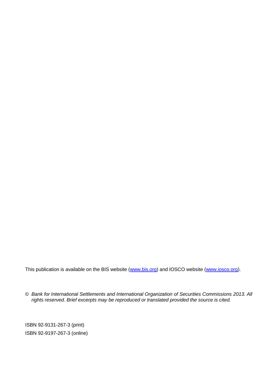This publication is available on the BIS website [\(www.bis.org\)](http://www.bis.org/) and IOSCO website [\(www.iosco.org\)](http://www.iosco.org/).

© *Bank for International Settlements and International Organization of Securities Commissions 2013. All rights reserved. Brief excerpts may be reproduced or translated provided the source is cited.*

ISBN 92-9131-267-3 (print) ISBN 92-9197-267-3 (online)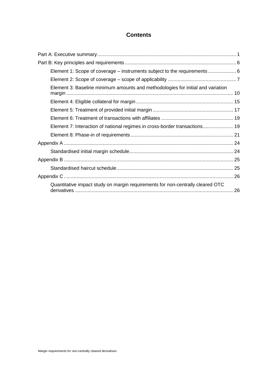# **Contents**

| Element 1: Scope of coverage – instruments subject to the requirements  6       |  |
|---------------------------------------------------------------------------------|--|
|                                                                                 |  |
| Element 3: Baseline minimum amounts and methodologies for initial and variation |  |
|                                                                                 |  |
|                                                                                 |  |
|                                                                                 |  |
| Element 7: Interaction of national regimes in cross-border transactions 19      |  |
|                                                                                 |  |
|                                                                                 |  |
|                                                                                 |  |
|                                                                                 |  |
|                                                                                 |  |
|                                                                                 |  |
| Quantitative impact study on margin requirements for non-centrally cleared OTC  |  |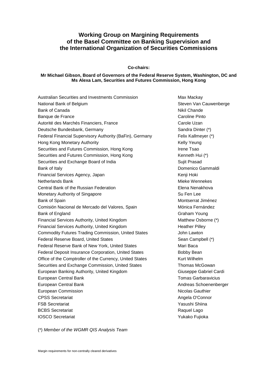## **Working Group on Margining Requirements of the Basel Committee on Banking Supervision and the International Organization of Securities Commissions**

**Co-chairs:**

#### **Mr Michael Gibson, Board of Governors of the Federal Reserve System, Washington, DC and Ms Alexa Lam, Securities and Futures Commission, Hong Kong**

| Australian Securities and Investments Commission           | Max Macka           |
|------------------------------------------------------------|---------------------|
| National Bank of Belgium                                   | Steven Van          |
| Bank of Canada                                             | <b>Nikil Chand</b>  |
| Banque de France                                           | Caroline Pir        |
| Autorité des Marchés Financiers, France                    | Carole Uza          |
| Deutsche Bundesbank, Germany                               | Sandra Dint         |
| Federal Financial Supervisory Authority (BaFin), Germany   | Felix Kallme        |
| Hong Kong Monetary Authority                               | Kelly Yeung         |
| Securities and Futures Commission, Hong Kong               | Irene Tsao          |
| Securities and Futures Commission, Hong Kong               | Kenneth Hu          |
| Securities and Exchange Board of India                     | Sujit Prasad        |
| Bank of Italy                                              | Domenico (          |
| Financial Services Agency, Japan                           | Kenji Hoki          |
| <b>Netherlands Bank</b>                                    | Mieke Wen           |
| Central Bank of the Russian Federation                     | Elena Nena          |
| Monetary Authority of Singapore                            | Su Fen Lee          |
| Bank of Spain                                              | Montserrat          |
| Comisión Nacional de Mercado del Valores, Spain            | Mónica Feri         |
| Bank of England                                            | Graham Yo           |
| Financial Services Authority, United Kingdom               | <b>Matthew Os</b>   |
| Financial Services Authority, United Kingdom               | <b>Heather Pill</b> |
| <b>Commodity Futures Trading Commission, United States</b> | John Lawto          |
| <b>Federal Reserve Board, United States</b>                | Sean Camp           |
| Federal Reserve Bank of New York, United States            | Mari Baca           |
| Federal Deposit Insurance Corporation, United States       | <b>Bobby Bear</b>   |
| Office of the Comptroller of the Currency, United States   | <b>Kurt Wilhelr</b> |
| Securities and Exchange Commission, United States          | Thomas Mo           |
| European Banking Authority, United Kingdom                 | Giuseppe G          |
| European Central Bank                                      | <b>Tomas Garl</b>   |
| European Central Bank                                      | <b>Andreas Sc</b>   |
| European Commission                                        | Nicolas Gau         |
| <b>CPSS Secretariat</b>                                    | Angela O'C          |
| <b>FSB Secretariat</b>                                     | Yasushi Sh          |
| <b>BCBS</b> Secretariat                                    | Raquel Lag          |
| <b>IOSCO Secretariat</b>                                   | Yukako Fuji         |

Max Mackay Steven Van Cauwenberge **Nikil Chande** Caroline Pinto Carole Uzan Sandra Dinter (\*) Felix Kallmeyer (\*) Kelly Yeung Irene Tsao Kenneth Hui (\*) Sujit Prasad Domenico Gammaldi Kenji Hoki Mieke Wennekes Elena Nenakhova Montserrat Jiménez Mónica Fernández Graham Young Matthew Osborne (\*) Heather Pilley John Lawton Sean Campbell (\*) Mari Baca Bobby Bean Kurt Wilhelm Thomas McGowan Giuseppe Gabriel Cardi Tomas Garbaravicius Andreas Schoenenberger Nicolas Gauthier Angela O'Connor Yasushi Shiina Raquel Lago Yukako Fujioka

(\*) *Member of the WGMR QIS Analysis Team*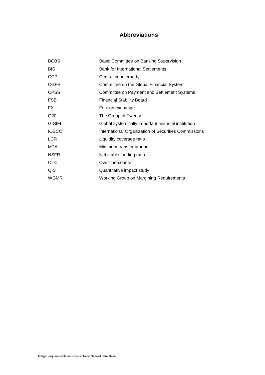# **Abbreviations**

| <b>BCBS</b>     | Basel Committee on Banking Supervision               |  |  |  |
|-----------------|------------------------------------------------------|--|--|--|
| <b>BIS</b>      | <b>Bank for International Settlements</b>            |  |  |  |
| <b>CCP</b>      | Central counterparty                                 |  |  |  |
| <b>CGFS</b>     | Committee on the Global Financial System             |  |  |  |
| <b>CPSS</b>     | Committee on Payment and Settlement Systems          |  |  |  |
| <b>FSB</b>      | <b>Financial Stability Board</b>                     |  |  |  |
| FX.             | Foreign exchange                                     |  |  |  |
| G <sub>20</sub> | The Group of Twenty                                  |  |  |  |
| G-SIFI          | Global systemically-important financial institution  |  |  |  |
| <b>IOSCO</b>    | International Organization of Securities Commissions |  |  |  |
| <b>LCR</b>      | Liquidity coverage ratio                             |  |  |  |
| MTA             | Minimum transfer amount                              |  |  |  |
| <b>NSFR</b>     | Net stable funding ratio                             |  |  |  |
| <b>OTC</b>      | Over-the-counter                                     |  |  |  |
| QIS             | Quantitative impact study                            |  |  |  |
| <b>WGMR</b>     | <b>Working Group on Margining Requirements</b>       |  |  |  |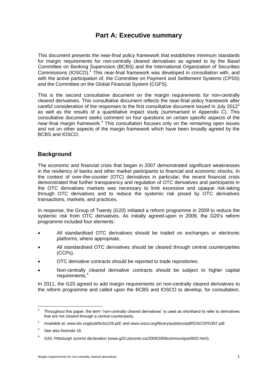# **Part A: Executive summary**

<span id="page-10-0"></span>This document presents the near-final policy framework that establishes minimum standards for margin requirements for non-centrally cleared derivatives as agreed to by the Basel Committee on Banking Supervision (BCBS) and the International Organization of Securities Commissions (IOSCO).<sup>1</sup> This near-final framework was developed in consultation with, and with the active participation of, the Committee on Payment and Settlement Systems (CPSS) and the Committee on the Global Financial System (CGFS).

This is the second consultative document on the margin requirements for non-centrally cleared derivatives. This consultative document reflects the near-final policy framework after careful consideration of the responses to the first consultative document issued in July 2012<sup>2</sup> as well as the results of a quantitative impact study (summarised in Appendix C). This consultative document seeks comment on four questions on certain specific aspects of the near-final margin framework.<sup>3</sup> This consultation focuses only on the remaining open issues and not on other aspects of the margin framework which have been broadly agreed by the BCBS and IOSCO.

# **Background**

The economic and financial crisis that began in 2007 demonstrated significant weaknesses in the resiliency of banks and other market participants to financial and economic shocks. In the context of over-the-counter (OTC) derivatives in particular, the recent financial crisis demonstrated that further transparency and regulation of OTC derivatives and participants in the OTC derivatives markets was necessary to limit excessive and opaque risk-taking through OTC derivatives and to reduce the systemic risk posed by OTC derivatives transactions, markets, and practices.

In response, the Group of Twenty (G20) initiated a reform programme in 2009 to reduce the systemic risk from OTC derivatives. As initially agreed-upon in 2009, the G20's reform programme included four elements:

- All standardised OTC derivatives should be traded on exchanges or electronic platforms, where appropriate.
- All standardised OTC derivatives should be cleared through central counterparties (CCPs).
- OTC derivative contracts should be reported to trade repositories.
- Non-centrally cleared derivative contracts should be subject to higher capital requirements.<sup>4</sup>

In 2011, the G20 agreed to add margin requirements on non-centrally cleared derivatives to the reform programme and called upon the BCBS and IOSCO to develop, for consultation,

 $\overline{a}$ 

<sup>1</sup> Throughout this paper, the term "non-centrally cleared derivatives" is used as shorthand to refer to derivatives that are not cleared through a central counterparty.

<sup>2</sup> Available at: www.bis.org/publ/bcbs226.pdf; and www.iosco.org/library/pubdocs/pdf/IOSCOPD387.pdf.

<sup>3</sup> See also footnote [16.](#page-27-0)

<sup>4</sup> G20, *Pittsburgh summit declaration* (www.g20.utoronto.ca/2009/2009communique0925.html).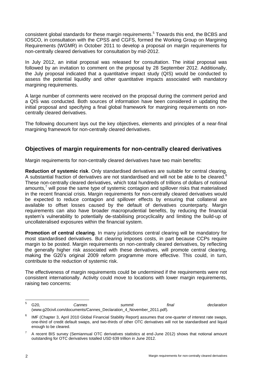consistent global standards for these margin requirements.<sup>5</sup> Towards this end, the BCBS and IOSCO, in consultation with the CPSS and CGFS, formed the Working Group on Margining Requirements (WGMR) in October 2011 to develop a proposal on margin requirements for non-centrally cleared derivatives for consultation by mid-2012.

In July 2012, an initial proposal was released for consultation. The initial proposal was followed by an invitation to comment on the proposal by 28 September 2012. Additionally, the July proposal indicated that a quantitative impact study (QIS) would be conducted to assess the potential liquidity and other quantitative impacts associated with mandatory margining requirements.

A large number of comments were received on the proposal during the comment period and a QIS was conducted. Both sources of information have been considered in updating the initial proposal and specifying a final global framework for margining requirements on noncentrally cleared derivatives.

The following document lays out the key objectives, elements and principles of a near-final margining framework for non-centrally cleared derivatives.

## **Objectives of margin requirements for non-centrally cleared derivatives**

Margin requirements for non-centrally cleared derivatives have two main benefits:

**Reduction of systemic risk**. Only standardised derivatives are suitable for central clearing. A substantial fraction of derivatives are not standardised and will not be able to be cleared.<sup>6</sup> These non-centrally cleared derivatives, which total hundreds of trillions of dollars of notional amounts, $<sup>7</sup>$  will pose the same type of systemic contagion and spillover risks that materialised</sup> in the recent financial crisis. Margin requirements for non-centrally cleared derivatives would be expected to reduce contagion and spillover effects by ensuring that collateral are available to offset losses caused by the default of derivatives counterparty. Margin requirements can also have broader macroprudential benefits, by reducing the financial system's vulnerability to potentially de-stabilising procyclicality and limiting the build-up of uncollateralised exposures within the financial system.

**Promotion of central clearing**. In many jurisdictions central clearing will be mandatory for most standardised derivatives. But clearing imposes costs, in part because CCPs require margin to be posted. Margin requirements on non-centrally cleared derivatives, by reflecting the generally higher risk associated with these derivatives, will promote central clearing, making the G20's original 2009 reform programme more effective. This could, in turn, contribute to the reduction of systemic risk.

The effectiveness of margin requirements could be undermined if the requirements were not consistent internationally. Activity could move to locations with lower margin requirements, raising two concerns:

 $\overline{5}$ <sup>5</sup> G20, *Cannes summit final declaration* (www.g20civil.com/documents/Cannes\_Declaration\_4\_November\_2011.pdf).

<sup>6</sup> IMF (Chapter 3, April 2010 Global Financial Stability Report) assumes that one-quarter of interest rate swaps, one-third of credit default swaps, and two-thirds of other OTC derivatives will not be standardised and liquid enough to be cleared.

<sup>7</sup> A recent BIS survey (Semiannual OTC derivatives statistics at end-June 2012) shows that notional amount outstanding for OTC derivatives totalled USD 639 trillion in June 2012.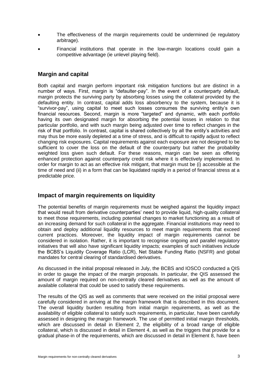- The effectiveness of the margin requirements could be undermined (ie regulatory arbitrage).
- Financial institutions that operate in the low-margin locations could gain a competitive advantage (ie unlevel playing field).

# **Margin and capital**

Both capital and margin perform important risk mitigation functions but are distinct in a number of ways. First, margin is "defaulter-pay". In the event of a counterparty default, margin protects the surviving party by absorbing losses using the collateral provided by the defaulting entity. In contrast, capital adds loss absorbency to the system, because it is "survivor-pay", using capital to meet such losses consumes the surviving entity's own financial resources. Second, margin is more "targeted" and dynamic, with each portfolio having its own designated margin for absorbing the potential losses in relation to that particular portfolio, and with such margin being adjusted over time to reflect changes in the risk of that portfolio. In contrast, capital is shared collectively by all the entity's activities and may thus be more easily depleted at a time of stress, and is difficult to rapidly adjust to reflect changing risk exposures. Capital requirements against each exposure are not designed to be sufficient to cover the loss on the default of the counterparty but rather the probability weighted loss given such default. For these reasons, margin can be seen as offering enhanced protection against counterparty credit risk where it is effectively implemented. In order for margin to act as an effective risk mitigant, that margin must be (i) accessible at the time of need and (ii) in a form that can be liquidated rapidly in a period of financial stress at a predictable price.

# **Impact of margin requirements on liquidity**

The potential benefits of margin requirements must be weighed against the liquidity impact that would result from derivative counterparties' need to provide liquid, high-quality collateral to meet those requirements, including potential changes to market functioning as a result of an increasing demand for such collateral in the aggregate. Financial institutions may need to obtain and deploy additional liquidity resources to meet margin requirements that exceed current practices. Moreover, the liquidity impact of margin requirements cannot be considered in isolation. Rather, it is important to recognise ongoing and parallel regulatory initiatives that will also have significant liquidity impacts; examples of such initiatives include the BCBS's Liquidity Coverage Ratio (LCR), Net Stable Funding Ratio (NSFR) and global mandates for central clearing of standardised derivatives.

As discussed in the initial proposal released in July, the BCBS and IOSCO conducted a QIS in order to gauge the impact of the margin proposals. In particular, the QIS assessed the amount of margin required on non-centrally cleared derivatives as well as the amount of available collateral that could be used to satisfy these requirements.

The results of the QIS as well as comments that were received on the initial proposal were carefully considered in arriving at the margin framework that is described in this document. The overall liquidity burden resulting from initial margin requirements, as well as the availability of eligible collateral to satisfy such requirements, in particular, have been carefully assessed in designing the margin framework. The use of permitted initial margin thresholds, which are discussed in detail in Element 2, the eligibility of a broad range of eligible collateral, which is discussed in detail in Element 4, as well as the triggers that provide for a gradual phase-in of the requirements, which are discussed in detail in Element 8, have been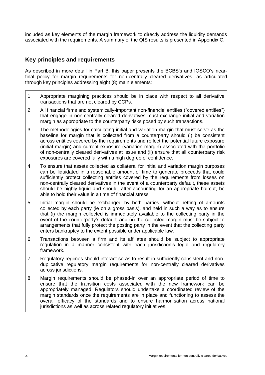included as key elements of the margin framework to directly address the liquidity demands associated with the requirements. A summary of the QIS results is presented in Appendix C.

# **Key principles and requirements**

As described in more detail in Part B, this paper presents the BCBS's and IOSCO's nearfinal policy for margin requirements for non-centrally cleared derivatives, as articulated through key principles addressing eight (8) main elements:

- 1. Appropriate margining practices should be in place with respect to all derivative transactions that are not cleared by CCPs.
- 2. All financial firms and systemically-important non-financial entities ("covered entities") that engage in non-centrally cleared derivatives must exchange initial and variation margin as appropriate to the counterparty risks posed by such transactions.
- 3. The methodologies for calculating initial and variation margin that must serve as the baseline for margin that is collected from a counterparty should (i) be consistent across entities covered by the requirements and reflect the potential future exposure (initial margin) and current exposure (variation margin) associated with the portfolio of non-centrally cleared derivatives at issue and (ii) ensure that all counterparty risk exposures are covered fully with a high degree of confidence.
- 4. To ensure that assets collected as collateral for initial and variation margin purposes can be liquidated in a reasonable amount of time to generate proceeds that could sufficiently protect collecting entities covered by the requirements from losses on non-centrally cleared derivatives in the event of a counterparty default, these assets should be highly liquid and should, after accounting for an appropriate haircut, be able to hold their value in a time of financial stress.
- 5. Initial margin should be exchanged by both parties, without netting of amounts collected by each party (ie on a gross basis), and held in such a way as to ensure that (i) the margin collected is immediately available to the collecting party in the event of the counterparty's default; and (ii) the collected margin must be subject to arrangements that fully protect the posting party in the event that the collecting party enters bankruptcy to the extent possible under applicable law.
- 6. Transactions between a firm and its affiliates should be subject to appropriate regulation in a manner consistent with each jurisdiction's legal and regulatory framework.
- 7. Regulatory regimes should interact so as to result in sufficiently consistent and nonduplicative regulatory margin requirements for non-centrally cleared derivatives across jurisdictions.
- 8. Margin requirements should be phased-in over an appropriate period of time to ensure that the transition costs associated with the new framework can be appropriately managed. Regulators should undertake a coordinated review of the margin standards once the requirements are in place and functioning to assess the overall efficacy of the standards and to ensure harmonisation across national jurisdictions as well as across related regulatory initiatives.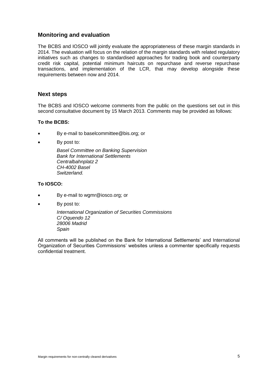## **Monitoring and evaluation**

The BCBS and IOSCO will jointly evaluate the appropriateness of these margin standards in 2014. The evaluation will focus on the relation of the margin standards with related regulatory initiatives such as changes to standardised approaches for trading book and counterparty credit risk capital, potential minimum haircuts on repurchase and reverse repurchase transactions, and implementation of the LCR, that may develop alongside these requirements between now and 2014.

## **Next steps**

The BCBS and IOSCO welcome comments from the public on the questions set out in this second consultative document by 15 March 2013. Comments may be provided as follows:

#### **To the BCBS:**

- By e-mail to baselcommittee@bis.org; or
- By post to:

*Basel Committee on Banking Supervision Bank for International Settlements Centralbahnplatz 2 CH-4002 Basel Switzerland.*

#### **To IOSCO:**

- By e-mail to wgmr@iosco.org; or
- By post to:

*International Organization of Securities Commissions C/ Oquendo 12 28006 Madrid Spain*

All comments will be published on the Bank for International Settlements' and International Organization of Securities Commissions' websites unless a commenter specifically requests confidential treatment.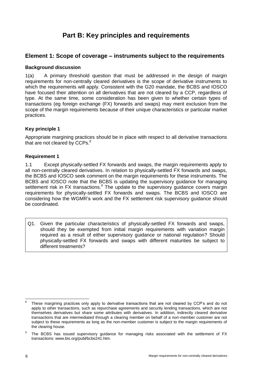# **Part B: Key principles and requirements**

# <span id="page-15-1"></span><span id="page-15-0"></span>**Element 1: Scope of coverage – instruments subject to the requirements**

### **Background discussion**

1(a) A primary threshold question that must be addressed in the design of margin requirements for non-centrally cleared derivatives is the scope of derivative instruments to which the requirements will apply. Consistent with the G20 mandate, the BCBS and IOSCO have focused their attention on all derivatives that are not cleared by a CCP, regardless of type. At the same time, some consideration has been given to whether certain types of transactions (eg foreign exchange (FX) forwards and swaps) may merit exclusion from the scope of the margin requirements because of their unique characteristics or particular market practices.

## **Key principle 1**

Appropriate margining practices should be in place with respect to all derivative transactions that are not cleared by CCPs.<sup>8</sup>

### **Requirement 1**

1.1 Except physically-settled FX forwards and swaps, the margin requirements apply to all non-centrally cleared derivatives. In relation to physically-settled FX forwards and swaps, the BCBS and IOSCO seek comment on the margin requirements for these instruments. The BCBS and IOSCO note that the BCBS is updating the supervisory guidance for managing settlement risk in FX transactions.<sup>9</sup> The update to the supervisory guidance covers margin requirements for physically-settled FX forwards and swaps. The BCBS and IOSCO are considering how the WGMR's work and the FX settlement risk supervisory guidance should be coordinated.

Q1. Given the particular characteristics of physically-settled FX forwards and swaps, should they be exempted from initial margin requirements with variation margin required as a result of either supervisory guidance or national regulation? Should physically-settled FX forwards and swaps with different maturities be subject to different treatments?

 $\overline{a}$ 8 These margining practices only apply to derivative transactions that are not cleared by CCP's and do not apply to other transactions, such as repurchase agreements and security lending transactions, which are not themselves derivatives but share some attributes with derivatives. In addition, indirectly cleared derivative transactions that are intermediated through a clearing member on behalf of a non-member customer are not subject to these requirements as long as the non-member customer is subject to the margin requirements of the clearing house.

<sup>9</sup> The BCBS has issued supervisory guidance for managing risks associated with the settlement of FX transactions: [www.bis.org/publ/bcbs241.htm.](http://www.bis.org/publ/bcbs241.htm)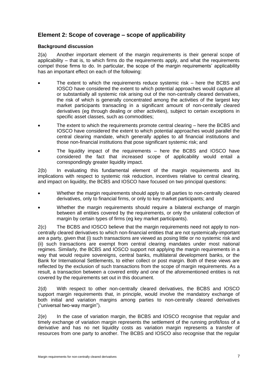# <span id="page-16-0"></span>**Element 2: Scope of coverage – scope of applicability**

### **Background discussion**

2(a) Another important element of the margin requirements is their general scope of applicability – that is, to which firms do the requirements apply, and what the requirements compel those firms to do. In particular, the scope of the margin requirements' applicability has an important effect on each of the following:

- The extent to which the requirements reduce systemic risk here the BCBS and IOSCO have considered the extent to which potential approaches would capture all or substantially all systemic risk arising out of the non-centrally cleared derivatives, the risk of which is generally concentrated among the activities of the largest key market participants transacting in a significant amount of non-centrally cleared derivatives (eg through dealing or other activities), subject to certain exceptions in specific asset classes, such as commodities;
- The extent to which the requirements promote central clearing here the BCBS and IOSCO have considered the extent to which potential approaches would parallel the central clearing mandate, which generally applies to all financial institutions and those non-financial institutions that pose significant systemic risk; and
- The liquidity impact of the requirements here the BCBS and IOSCO have considered the fact that increased scope of applicability would entail a correspondingly greater liquidity impact.

2(b) In evaluating this fundamental element of the margin requirements and its implications with respect to systemic risk reduction, incentives relative to central clearing, and impact on liquidity, the BCBS and IOSCO have focused on two principal questions:

- Whether the margin requirements should apply to all parties to non-centrally cleared derivatives, only to financial firms, or only to key market participants; and
- Whether the margin requirements should require a bilateral exchange of margin between all entities covered by the requirements, or only the unilateral collection of margin by certain types of firms (eg key market participants).

2(c) The BCBS and IOSCO believe that the margin requirements need not apply to noncentrally cleared derivatives to which non-financial entities that are not systemically-important are a party, given that (i) such transactions are viewed as posing little or no systemic risk and (ii) such transactions are exempt from central clearing mandates under most national regimes. Similarly, the BCBS and IOSCO support not applying the margin requirements in a way that would require sovereigns, central banks, multilateral development banks, or the Bank for International Settlements, to either collect or post margin. Both of these views are reflected by the exclusion of such transactions from the scope of margin requirements. As a result, a transaction between a covered entity and one of the aforementioned entities is not covered by the requirements set out in this document.

2(d) With respect to other non-centrally cleared derivatives, the BCBS and IOSCO support margin requirements that, in principle, would involve the mandatory exchange of both initial and variation margins among parties to non-centrally cleared derivatives ("universal two-way margin").

2(e) In the case of variation margin, the BCBS and IOSCO recognise that regular and timely exchange of variation margin represents the settlement of the running profit/loss of a derivative and has no net liquidity costs as variation margin represents a transfer of resources from one party to another. The BCBS and IOSCO also recognise that the regular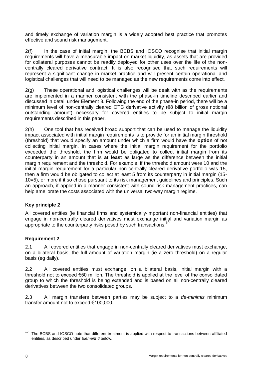and timely exchange of variation margin is a widely adopted best practice that promotes effective and sound risk management.

2(f) In the case of initial margin, the BCBS and IOSCO recognise that initial margin requirements will have a measurable impact on market liquidity, as assets that are provided for collateral purposes cannot be readily deployed for other uses over the life of the noncentrally cleared derivative contract. It is also recognised that such requirements will represent a significant change in market practice and will present certain operational and logistical challenges that will need to be managed as the new requirements come into effect.

2(g) These operational and logistical challenges will be dealt with as the requirements are implemented in a manner consistent with the phase-in timeline described earlier and discussed in detail under Element 8. Following the end of the phase-in period, there will be a minimum level of non-centrally cleared OTC derivative activity (€8 billion of gross notional outstanding amount) necessary for covered entities to be subject to initial margin requirements described in this paper.

2(h) One tool that has received broad support that can be used to manage the liquidity impact associated with initial margin requirements is to provide for an initial margin threshold (threshold) that would specify an amount under which a firm would have the **option** of not collecting initial margin. In cases where the initial margin requirement for the portfolio exceeded the threshold, the firm would be obligated to collect initial margin from its counterparty in an amount that is **at least** as large as the difference between the initial margin requirement and the threshold. For example, if the threshold amount were 10 and the initial margin requirement for a particular non-centrally cleared derivative portfolio was 15, then a firm would be obligated to collect at least 5 from its counterparty in initial margin (15- 10=5), or more if it so chose pursuant to its risk management guidelines and principles. Such an approach, if applied in a manner consistent with sound risk management practices, can help ameliorate the costs associated with the universal two-way margin regime.

## **Key principle 2**

All covered entities (ie financial firms and systemically-important non-financial entities) that engage in non-centrally cleared derivatives must exchange initial and variation margin as appropriate to the counterparty risks posed by such transactions.<sup>10</sup>

## **Requirement 2**

2.1 All covered entities that engage in non-centrally cleared derivatives must exchange, on a bilateral basis, the full amount of variation margin (ie a zero threshold) on a regular basis (eg daily).

2.2 All covered entities must exchange, on a bilateral basis, initial margin with a threshold not to exceed €50 million. The threshold is applied at the level of the consolidated group to which the threshold is being extended and is based on all non-centrally cleared derivatives between the two consolidated groups.

2.3 All margin transfers between parties may be subject to a *de-minimis* minimum transfer amount not to exceed €100,000.

<sup>10</sup> The BCBS and IOSCO note that different treatment is applied with respect to transactions between affiliated entities, as described under *Element 6* below.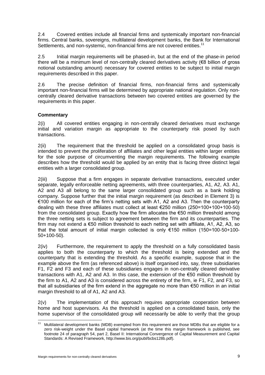2.4 Covered entities include all financial firms and systemically important non-financial firms. Central banks, sovereigns, multilateral development banks, the Bank for International Settlements, and non-systemic, non-financial firms are not covered entities.<sup>11</sup>

2.5 Initial margin requirements will be phased-in, but at the end of the phase-in period there will be a minimum level of non-centrally cleared derivatives activity (€8 billion of gross notional outstanding amount) necessary for covered entities to be subject to initial margin requirements described in this paper.

2.6 The precise definition of financial firms, non-financial firms and systemically important non-financial firms will be determined by appropriate national regulation. Only noncentrally cleared derivative transactions between two covered entities are governed by the requirements in this paper.

## **Commentary**

2(i) All covered entities engaging in non-centrally cleared derivatives must exchange initial and variation margin as appropriate to the counterparty risk posed by such transactions.

2(ii) The requirement that the threshold be applied on a consolidated group basis is intended to prevent the proliferation of affiliates and other legal entities within larger entities for the sole purpose of circumventing the margin requirements. The following example describes how the threshold would be applied by an entity that is facing three distinct legal entities with a larger consolidated group.

2(iii) Suppose that a firm engages in separate derivative transactions, executed under separate, legally enforceable netting agreements, with three counterparties, A1, A2, A3. A1, A2 and A3 all belong to the same larger consolidated group such as a bank holding company. Suppose further that the initial margin requirement (as described in Element 3) is €100 million for each of the firm's netting sets with A1, A2 and A3. Then the counterparty dealing with these three affiliates must collect at least €250 million (250=100+100+100-50) from the consolidated group. Exactly how the firm allocates the €50 million threshold among the three netting sets is subject to agreement between the firm and its counterparties. The firm may not extend a €50 million threshold to each netting set with affiliate, A1, A2, A3, so that the total amount of initial margin collected is only €150 million (150=100-50+100- 50+100-50).

2(iv) Furthermore, the requirement to apply the threshold on a fully consolidated basis applies to both the counterparty to which the threshold is being extended and the counterparty that is extending the threshold. As a specific example, suppose that in the example above the firm (as referenced above) is itself organised into, say, three subsidiaries F1, F2 and F3 and each of these subsidiaries engages in non-centrally cleared derivative transactions with A1, A2 and A3. In this case, the extension of the €50 million threshold by the firm to A1, A2 and A3 is considered across the entirety of the firm, ie F1, F2, and F3, so that all subsidiaries of the firm extend in the aggregate no more than €50 million in an initial margin threshold to all of A1, A2 and A3.

2(v) The implementation of this approach requires appropriate cooperation between home and host supervisors. As the threshold is applied on a consolidated basis, only the home supervisor of the consolidated group will necessarily be able to verify that the group

 $11$ Multilateral development banks (MDB) exempted from this requirement are those MDBs that are eligible for a zero risk-weight under the Basel capital framework (at the time this margin framework is published, see footnote 24 of paragraph 54, part 2, Basel II: International Convergence of Capital Measurement and Capital Standards: A Revised Framework, http://www.bis.org/publ/bcbs128b.pdf).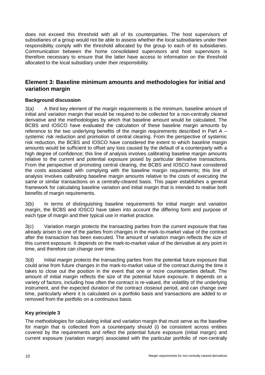does not exceed this threshold with all of its counterparties. The host supervisors of subsidiaries of a group would not be able to assess whether the local subsidiaries under their responsibility comply with the threshold allocated by the group to each of its subsidiaries. Communication between the home consolidated supervisors and host supervisors is therefore necessary to ensure that the latter have access to information on the threshold allocated to the local subsidiary under their responsibility.

# <span id="page-19-0"></span>**Element 3: Baseline minimum amounts and methodologies for initial and variation margin**

## **Background discussion**

3(a) A third key element of the margin requirements is the minimum, baseline amount of initial and variation margin that would be required to be collected for a non-centrally cleared derivative and the methodologies by which that baseline amount would be calculated. The BCBS and IOSCO have evaluated the calculation of these baseline margin amounts by reference to the two underlying benefits of the margin requirements described in Part A – systemic risk reduction and promotion of central clearing. From the perspective of systemic risk reduction, the BCBS and IOSCO have considered the extent to which baseline margin amounts would be sufficient to offset any loss caused by the default of a counterparty with a high degree of confidence; this line of analysis involves calibrating baseline margin amounts relative to the current and potential exposure posed by particular derivative transactions. From the perspective of promoting central clearing, the BCBS and IOSCO have considered the costs associated with complying with the baseline margin requirements; this line of analysis involves calibrating baseline margin amounts relative to the costs of executing the same or similar transactions on a centrally-cleared basis. This paper establishes a general framework for calculating baseline variation and initial margin that is intended to realise both benefits of margin requirements.

3(b) In terms of distinguishing baseline requirements for initial margin and variation margin, the BCBS and IOSCO have taken into account the differing form and purpose of each type of margin and their typical use in market practice.

3(c) Variation margin protects the transacting parties from the current exposure that has already arisen to one of the parties from changes in the mark-to-market value of the contract after the transaction has been executed. The amount of variation margin reflects the size of this current exposure. It depends on the mark-to-market value of the derivative at any point in time, and therefore can change over time.

3(d) Initial margin protects the transacting parties from the potential future exposure that could arise from future changes in the mark-to-market value of the contract during the time it takes to close out the position in the event that one or more counterparties default. The amount of initial margin reflects the size of the potential future exposure. It depends on a variety of factors, including how often the contract is re-valued, the volatility of the underlying instrument, and the expected duration of the contract closeout period, and can change over time, particularly where it is calculated on a portfolio basis and transactions are added to or removed from the portfolio on a continuous basis.

## **Key principle 3**

The methodologies for calculating initial and variation margin that must serve as the baseline for margin that is collected from a counterparty should (i) be consistent across entities covered by the requirements and reflect the potential future exposure (initial margin) and current exposure (variation margin) associated with the particular portfolio of non-centrally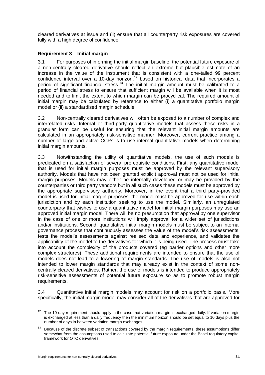cleared derivatives at issue and (ii) ensure that all counterparty risk exposures are covered fully with a high degree of confidence.

## **Requirement 3 – Initial margin**

3.1 For purposes of informing the initial margin baseline, the potential future exposure of a non-centrally cleared derivative should reflect an extreme but plausible estimate of an increase in the value of the instrument that is consistent with a one-tailed 99 percent confidence interval over a 10-day horizon,<sup>12</sup> based on historical data that incorporates a period of significant financial stress.<sup>13</sup> The initial margin amount must be calibrated to a period of financial stress to ensure that sufficient margin will be available when it is most needed and to limit the extent to which margin can be procyclical. The required amount of initial margin may be calculated by reference to either (i) a quantitative portfolio margin model or (ii) a standardised margin schedule.

3.2 Non-centrally cleared derivatives will often be exposed to a number of complex and interrelated risks. Internal or third-party quantitative models that assess these risks in a granular form can be useful for ensuring that the relevant initial margin amounts are calculated in an appropriately risk-sensitive manner. Moreover, current practice among a number of large and active CCPs is to use internal quantitative models when determining initial margin amounts.

3.3 Notwithstanding the utility of quantitative models, the use of such models is predicated on a satisfaction of several prerequisite conditions. First, any quantitative model that is used for initial margin purposes must be approved by the relevant supervisory authority. Models that have not been granted explicit approval must not be used for initial margin purposes. Models may either be internally developed or may be provided by the counterparties or third party vendors but in all such cases these models must be approved by the appropriate supervisory authority. Moreover, in the event that a third party-provided model is used for initial margin purposes, the model must be approved for use within each jurisdiction and by each institution seeking to use the model. Similarly, an unregulated counterparty that wishes to use a quantitative model for initial margin purposes may use an approved initial margin model. There will be no presumption that approval by one supervisor in the case of one or more institutions will imply approval for a wider set of jurisdictions and/or institutions. Second, quantitative initial margin models must be subject to an internal governance process that continuously assesses the value of the model's risk assessments, tests the model's assessments against realised data and experience, and validates the applicability of the model to the derivatives for which it is being used. The process must take into account the complexity of the products covered (eg barrier options and other more complex structures). These additional requirements are intended to ensure that the use of models does not lead to a lowering of margin standards. The use of models is also not intended to lower margin standards that may already exist in the context of some noncentrally cleared derivatives. Rather, the use of models is intended to produce appropriately risk-sensitive assessments of potential future exposure so as to promote robust margin requirements.

3.4 Quantitative initial margin models may account for risk on a portfolio basis. More specifically, the initial margin model may consider all of the derivatives that are approved for

<sup>1</sup>  $12$  The 10-day requirement should apply in the case that variation margin is exchanged daily. If variation margin is exchanged at less than a daily frequency then the minimum horizon should be set equal to 10 days plus the number of days in between variation margin exchanges.

 $13$  Because of the discrete subset of transactions covered by the margin requirements, these assumptions differ somewhat from the assumptions used to calculate potential future exposure under the Basel regulatory capital framework for OTC derivatives.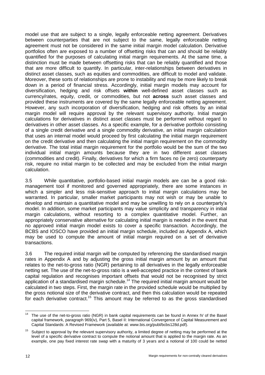model use that are subject to a single, legally enforceable netting agreement. Derivatives between counterparties that are not subject to the same, legally enforceable netting agreement must not be considered in the same initial margin model calculation. Derivative portfolios often are exposed to a number of offsetting risks that can and should be reliably quantified for the purposes of calculating initial margin requirements. At the same time, a distinction must be made between offsetting risks that can be reliably quantified and those that are more difficult to quantify. In particular, inter-relationships between derivatives in distinct asset classes, such as equities and commodities, are difficult to model and validate. Moreover, these sorts of relationships are prone to instability and may be more likely to break down in a period of financial stress. Accordingly, initial margin models may account for diversification, hedging and risk offsets **within** well-defined asset classes such as currency/rates, equity, credit, or commodities, but not **across** such asset classes and provided these instruments are covered by the same legally enforceable netting agreement. However, any such incorporation of diversification, hedging and risk offsets by an initial margin model will require approval by the relevant supervisory authority. Initial margin calculations for derivatives in distinct asset classes must be performed without regard to derivatives in other asset classes. As a specific example, for a derivative portfolio consisting of a single credit derivative and a single commodity derivative, an initial margin calculation that uses an internal model would proceed by first calculating the initial margin requirement on the credit derivative and then calculating the initial margin requirement on the commodity derivative. The total initial margin requirement for the portfolio would be the sum of the two individual initial margin amounts because they are in two different asset classes (commodities and credit). Finally, derivatives for which a firm faces no (ie zero) counterparty risk, require no initial margin to be collected and may be excluded from the initial margin calculation.

3.5 While quantitative, portfolio-based initial margin models are can be a good riskmanagement tool if monitored and governed appropriately, there are some instances in which a simpler and less risk-sensitive approach to initial margin calculations may be warranted. In particular, smaller market participants may not wish or may be unable to develop and maintain a quantitative model and may be unwilling to rely on a counterparty's model. In addition, some market participants may value simplicity and transparency in initial margin calculations, without resorting to a complex quantitative model. Further, an appropriately conservative alternative for calculating initial margin is needed in the event that no approved initial margin model exists to cover a specific transaction. Accordingly, the BCBS and IOSCO have provided an initial margin schedule, included as Appendix A, which may be used to compute the amount of initial margin required on a set of derivative transactions.

3.6 The required initial margin will be computed by referencing the standardised margin rates in Appendix A and by adjusting the gross initial margin amount by an amount that relates to the net-to-gross ratio (NGR) pertaining to all derivatives in the legally enforceable netting set. The use of the net-to-gross ratio is a well-accepted practice in the context of bank capital regulation and recognises important offsets that would not be recognised by strict application of a standardised margin schedule.<sup>14</sup> The required initial margin amount would be calculated in two steps. First, the margin rate in the provided schedule would be multiplied by the gross notional size of the derivative contract, and then this calculation would be repeated for each derivative contract.<sup>15</sup> This amount may be referred to as the gross standardised

 $14$ The use of the net-to-gross ratio (NGR) in bank capital requirements can be found in Annex IV of the Basel capital framework, paragraph 969(iv), Part 5, Basel II: International Convergence of Capital Measurement and Capital Standards: A Revised Framework (available at: [www.bis.org/publ/bcbs128d.pdf\)](file:///C:/Users/ra002013/AppData/Local/Microsoft/Windows/Temporary%20Internet%20Files/MyDocuments/Documentum/Temp/www.bis.org/publ/bcbs128d.pdf).

 $15$  Subject to approval by the relevant supervisory authority, a limited degree of netting may be performed at the level of a specific derivative contract to compute the notional amount that is applied to the margin rate. As an example, one pay fixed interest rate swap with a maturity of 3 years and a notional of 100 could be netted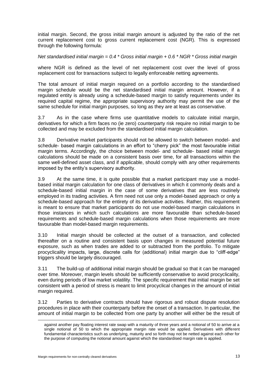initial margin. Second, the gross initial margin amount is adjusted by the ratio of the net current replacement cost to gross current replacement cost (NGR). This is expressed through the following formula:

### *Net standardised initial margin = 0.4 \* Gross initial margin + 0.6 \* NGR \* Gross initial margin*

where NGR is defined as the level of net replacement cost over the level of gross replacement cost for transactions subject to legally enforceable netting agreements.

The total amount of initial margin required on a portfolio according to the standardised margin schedule would be the net standardised initial margin amount. However, if a regulated entity is already using a schedule-based margin to satisfy requirements under its required capital regime, the appropriate supervisory authority may permit the use of the same schedule for initial margin purposes, so long as they are at least as conservative.

3.7 As in the case where firms use quantitative models to calculate initial margin, derivatives for which a firm faces no (ie zero) counterparty risk require no initial margin to be collected and may be excluded from the standardised initial margin calculation.

3.8 Derivative market participants should not be allowed to switch between model- and schedule- based margin calculations in an effort to "cherry pick" the most favourable initial margin terms. Accordingly, the choice between model- and schedule- based initial margin calculations should be made on a consistent basis over time, for all transactions within the same well-defined asset class, and if applicable, should comply with any other requirements imposed by the entity's supervisory authority.

3.9 At the same time, it is quite possible that a market participant may use a modelbased initial margin calculation for one class of derivatives in which it commonly deals and a schedule-based initial margin in the case of some derivatives that are less routinely employed in its trading activities. A firm need not use only a model-based approach or only a schedule-based approach for the entirety of its derivative activities. Rather, this requirement is meant to ensure that market participants do not use model-based margin calculations in those instances in which such calculations are more favourable than schedule-based requirements and schedule-based margin calculations when those requirements are more favourable than model-based margin requirements.

3.10 Initial margin should be collected at the outset of a transaction, and collected thereafter on a routine and consistent basis upon changes in measured potential future exposure, such as when trades are added to or subtracted from the portfolio. To mitigate procyclicality impacts, large, discrete calls for (additional) initial margin due to "cliff-edge" triggers should be largely discouraged.

3.11 The build-up of additional initial margin should be gradual so that it can be managed over time. Moreover, margin levels should be sufficiently conservative to avoid procyclicality, even during periods of low market volatility. The specific requirement that initial margin be set consistent with a period of stress is meant to limit procyclical changes in the amount of initial margin required.

3.12 Parties to derivative contracts should have rigorous and robust dispute resolution procedures in place with their counterparty before the onset of a transaction. In particular, the amount of initial margin to be collected from one party by another will either be the result of

1

against another pay floating interest rate swap with a maturity of three years and a notional of 50 to arrive at a single notional of 50 to which the appropriate margin rate would be applied. Derivatives with different fundamental characteristics such as underlying, maturity and so forth may not be netted against each other for the purpose of computing the notional amount against which the standardised margin rate is applied.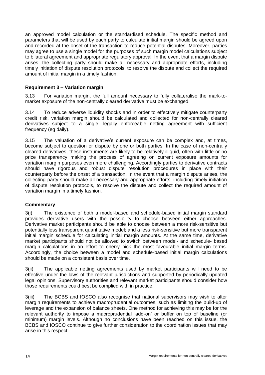an approved model calculation or the standardised schedule. The specific method and parameters that will be used by each party to calculate initial margin should be agreed upon and recorded at the onset of the transaction to reduce potential disputes. Moreover, parties may agree to use a single model for the purposes of such margin model calculations subject to bilateral agreement and appropriate regulatory approval. In the event that a margin dispute arises, the collecting party should make all necessary and appropriate efforts, including timely initiation of dispute resolution protocols, to resolve the dispute and collect the required amount of initial margin in a timely fashion.

## **Requirement 3 – Variation margin**

3.13 For variation margin, the full amount necessary to fully collateralise the mark-tomarket exposure of the non-centrally cleared derivative must be exchanged.

3.14 To reduce adverse liquidity shocks and in order to effectively mitigate counterparty credit risk, variation margin should be calculated and collected for non-centrally cleared derivatives subject to a single, legally enforceable netting agreement with sufficient frequency (eg daily).

3.15 The valuation of a derivative's current exposure can be complex and, at times, become subject to question or dispute by one or both parties. In the case of non-centrally cleared derivatives, these instruments are likely to be relatively illiquid, often with little or no price transparency making the process of agreeing on current exposure amounts for variation margin purposes even more challenging. Accordingly parties to derivative contracts should have rigorous and robust dispute resolution procedures in place with their counterparty before the onset of a transaction. In the event that a margin dispute arises, the collecting party should make all necessary and appropriate efforts, including timely initiation of dispute resolution protocols, to resolve the dispute and collect the required amount of variation margin in a timely fashion.

### **Commentary**

3(i) The existence of both a model-based and schedule-based initial margin standard provides derivative users with the possibility to choose between either approaches. Derivative market participants should be able to choose between a more risk-sensitive but potentially less transparent quantitative model; and a less risk-sensitive but more transparent initial margin schedule for calculating initial margin amounts. At the same time, derivative market participants should not be allowed to switch between model- and schedule- based margin calculations in an effort to cherry pick the most favourable initial margin terms. Accordingly, the choice between a model and schedule-based initial margin calculations should be made on a consistent basis over time.

3(ii) The applicable netting agreements used by market participants will need to be effective under the laws of the relevant jurisdictions and supported by periodically-updated legal opinions. Supervisory authorities and relevant market participants should consider how those requirements could best be complied with in practice.

3(iii) The BCBS and IOSCO also recognise that national supervisors may wish to alter margin requirements to achieve macroprudential outcomes, such as limiting the build-up of leverage and the expansion of balance sheets. One method for achieving this may be for the relevant authority to impose a macroprudential 'add-on' or buffer on top of baseline (or minimum) margin levels. Although no conclusions have been reached on this issue, the BCBS and IOSCO continue to give further consideration to the coordination issues that may arise in this respect.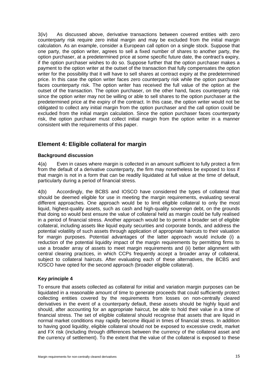3(iv) As discussed above, derivative transactions between covered entities with zero counterparty risk require zero initial margin and may be excluded from the initial margin calculation. As an example, consider a European call option on a single stock. Suppose that one party, the option writer, agrees to sell a fixed number of shares to another party, the option purchaser, at a predetermined price at some specific future date, the contract's expiry, if the option purchaser wishes to do so. Suppose further that the option purchaser makes a payment to the option writer at the outset of the transaction that fully compensates the option writer for the possibility that it will have to sell shares at contract expiry at the predetermined price. In this case the option writer faces zero counterparty risk while the option purchaser faces counterparty risk. The option writer has received the full value of the option at the outset of the transaction. The option purchaser, on the other hand, faces counterparty risk since the option writer may not be willing or able to sell shares to the option purchaser at the predetermined price at the expiry of the contract. In this case, the option writer would not be obligated to collect any initial margin from the option purchaser and the call option could be excluded from the initial margin calculation. Since the option purchaser faces counterparty risk, the option purchaser must collect initial margin from the option writer in a manner consistent with the requirements of this paper.

# <span id="page-24-0"></span>**Element 4: Eligible collateral for margin**

### **Background discussion**

4(a) Even in cases where margin is collected in an amount sufficient to fully protect a firm from the default of a derivative counterparty, the firm may nonetheless be exposed to loss if that margin is not in a form that can be readily liquidated at full value at the time of default, particularly during a period of financial stress.

4(b) Accordingly, the BCBS and IOSCO have considered the types of collateral that should be deemed eligible for use in meeting the margin requirements, evaluating several different approaches. One approach would be to limit eligible collateral to only the most liquid, highest-quality assets, such as cash and high-quality sovereign debt, on the grounds that doing so would best ensure the value of collateral held as margin could be fully realised in a period of financial stress. Another approach would be to permit a broader set of eligible collateral, including assets like liquid equity securities and corporate bonds, and address the potential volatility of such assets through application of appropriate haircuts to their valuation for margin purposes. Potential advantages of the latter approach would include (i) a reduction of the potential liquidity impact of the margin requirements by permitting firms to use a broader array of assets to meet margin requirements and (ii) better alignment with central clearing practices, in which CCPs frequently accept a broader array of collateral, subject to collateral haircuts. After evaluating each of these alternatives, the BCBS and IOSCO have opted for the second approach (broader eligible collateral).

## **Key principle 4**

To ensure that assets collected as collateral for initial and variation margin purposes can be liquidated in a reasonable amount of time to generate proceeds that could sufficiently protect collecting entities covered by the requirements from losses on non-centrally cleared derivatives in the event of a counterparty default, these assets should be highly liquid and should, after accounting for an appropriate haircut, be able to hold their value in a time of financial stress. The set of eligible collateral should recognise that assets that are liquid in normal market conditions may rapidly become illiquid in times of financial stress. In addition to having good liquidity, eligible collateral should not be exposed to excessive credit, market and FX risk (including through differences between the currency of the collateral asset and the currency of settlement). To the extent that the value of the collateral is exposed to these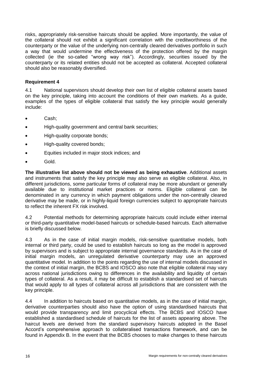risks, appropriately risk-sensitive haircuts should be applied. More importantly, the value of the collateral should not exhibit a significant correlation with the creditworthiness of the counterparty or the value of the underlying non-centrally cleared derivatives portfolio in such a way that would undermine the effectiveness of the protection offered by the margin collected (ie the so-called "wrong way risk"). Accordingly, securities issued by the counterparty or its related entities should not be accepted as collateral. Accepted collateral should also be reasonably diversified.

### **Requirement 4**

4.1 National supervisors should develop their own list of eligible collateral assets based on the key principle, taking into account the conditions of their own markets. As a guide, examples of the types of eligible collateral that satisfy the key principle would generally include:

- Cash;
- High-quality government and central bank securities;
- High-quality corporate bonds;
- High-quality covered bonds;
- Equities included in major stock indices; and
- Gold.

**The illustrative list above should not be viewed as being exhaustive**. Additional assets and instruments that satisfy the key principle may also serve as eligible collateral. Also, in different jurisdictions, some particular forms of collateral may be more abundant or generally available due to institutional market practices or norms. Eligible collateral can be denominated in any currency in which payment obligations under the non-centrally cleared derivative may be made, or in highly-liquid foreign currencies subject to appropriate haircuts to reflect the inherent FX risk involved.

4.2 Potential methods for determining appropriate haircuts could include either internal or third-party quantitative model-based haircuts or schedule-based haircuts. Each alternative is briefly discussed below.

4.3 As in the case of initial margin models, risk-sensitive quantitative models, both internal or third party, could be used to establish haircuts so long as the model is approved by supervisors and is subject to appropriate internal governance standards. As in the case of initial margin models, an unregulated derivative counterparty may use an approved quantitative model. In addition to the points regarding the use of internal models discussed in the context of initial margin, the BCBS and IOSCO also note that eligible collateral may vary across national jurisdictions owing to differences in the availability and liquidity of certain types of collateral. As a result, it may be difficult to establish a standardised set of haircuts that would apply to all types of collateral across all jurisdictions that are consistent with the key principle.

4.4 In addition to haircuts based on quantitative models, as in the case of initial margin, derivative counterparties should also have the option of using standardised haircuts that would provide transparency and limit procyclical effects. The BCBS and IOSCO have established a standardised schedule of haircuts for the list of assets appearing above. The haircut levels are derived from the standard supervisory haircuts adopted in the Basel Accord's comprehensive approach to collateralised transactions framework, and can be found in Appendix B. In the event that the BCBS chooses to make changes to these haircuts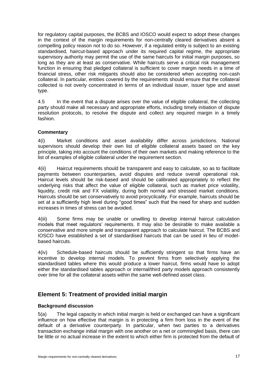for regulatory capital purposes, the BCBS and IOSCO would expect to adopt these changes in the context of the margin requirements for non-centrally cleared derivatives absent a compelling policy reason not to do so. However, if a regulated entity is subject to an existing standardised, haircut-based approach under its required capital regime, the appropriate supervisory authority may permit the use of the same haircuts for initial margin purposes, so long as they are at least as conservative. While haircuts serve a critical risk management function in ensuring that pledged collateral is sufficient to cover margin needs in a time of financial stress, other risk mitigants should also be considered when accepting non-cash collateral. In particular, entities covered by the requirements should ensure that the collateral collected is not overly concentrated in terms of an individual issuer, issuer type and asset type.

4.5 In the event that a dispute arises over the value of eligible collateral, the collecting party should make all necessary and appropriate efforts, including timely initiation of dispute resolution protocols, to resolve the dispute and collect any required margin in a timely fashion.

## **Commentary**

4(i) Market conditions and asset availability differ across jurisdictions. National supervisors should develop their own list of eligible collateral assets based on the key principle, taking into account the conditions of their own markets and making reference to the list of examples of eligible collateral under the requirement section.

4(ii) Haircut requirements should be transparent and easy to calculate, so as to facilitate payments between counterparties, avoid disputes and reduce overall operational risk. Haircut levels should be risk-based and should be calibrated appropriately to reflect the underlying risks that affect the value of eligible collateral, such as market price volatility, liquidity, credit risk and FX volatility, during both normal and stressed market conditions. Haircuts should be set conservatively to avoid procyclicality. For example, haircuts should be set at a sufficiently high level during "good times" such that the need for sharp and sudden increases in times of stress can be avoided.

4(iii) Some firms may be unable or unwilling to develop internal haircut calculation models that meet regulators' requirements. It may also be desirable to make available a conservative and more simple and transparent approach to calculate haircut. The BCBS and IOSCO have established a set of standardised haircuts that can be used in lieu of modelbased haircuts.

4(iv) Schedule-based haircuts should be sufficiently stringent so that firms have an incentive to develop internal models. To prevent firms from selectively applying the standardised tables where this would produce a lower haircut, firms would have to adopt either the standardised tables approach or internal/third party models approach consistently over time for all the collateral assets within the same well-defined asset class.

# <span id="page-26-0"></span>**Element 5: Treatment of provided initial margin**

### **Background discussion**

5(a) The legal capacity in which initial margin is held or exchanged can have a significant influence on how effective that margin is in protecting a firm from loss in the event of the default of a derivative counterparty. In particular, when two parties to a derivatives transaction exchange initial margin with one another on a net or commingled basis, there can be little or no actual increase in the extent to which either firm is protected from the default of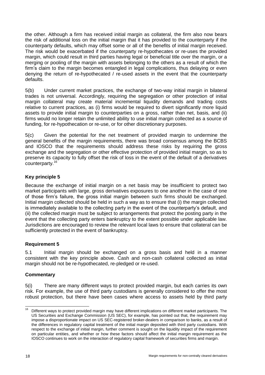the other. Although a firm has received initial margin as collateral, the firm also now bears the risk of additional loss on the initial margin that it has provided to the counterparty if the counterparty defaults, which may offset some or all of the benefits of initial margin received. The risk would be exacerbated if the counterparty re-hypothecates or re-uses the provided margin, which could result in third parties having legal or beneficial title over the margin, or a merging or pooling of the margin with assets belonging to the others as a result of which the firm's claim to the margin becomes entangled in legal complications, thus delaying or even denying the return of re-hypothecated / re-used assets in the event that the counterparty defaults.

5(b) Under current market practices, the exchange of two-way initial margin in bilateral trades is not universal. Accordingly, requiring the segregation or other protection of initial margin collateral may create material incremental liquidity demands and trading costs relative to current practices, as (i) firms would be required to divert significantly more liquid assets to provide initial margin to counterparties on a gross, rather than net, basis, and (ii) firms would no longer retain the unlimited ability to use initial margin collected as a source of funding, for re-hypothecation or re-use, or for other discretionary purposes.

5(c) Given the potential for the net treatment of provided margin to undermine the general benefits of the margin requirements, there was broad consensus among the BCBS and IOSCO that the requirements should address these risks by requiring the gross exchange and the segregation or other effective protection of provided initial margin, so as to preserve its capacity to fully offset the risk of loss in the event of the default of a derivatives counterparty. 16

## <span id="page-27-0"></span>**Key principle 5**

Because the exchange of initial margin on a net basis may be insufficient to protect two market participants with large, gross derivatives exposures to one another in the case of one of those firm's failure, the gross initial margin between such firms should be exchanged. Initial margin collected should be held in such a way as to ensure that (i) the margin collected is immediately available to the collecting party in the event of the counterparty's default, and (ii) the collected margin must be subject to arrangements that protect the posting party in the event that the collecting party enters bankruptcy to the extent possible under applicable law. Jurisdictions are encouraged to review the relevant local laws to ensure that collateral can be sufficiently protected in the event of bankruptcy.

## **Requirement 5**

5.1 Initial margin should be exchanged on a gross basis and held in a manner consistent with the key principle above. Cash and non-cash collateral collected as initial margin should not be re-hypothecated, re-pledged or re-used.

## **Commentary**

5(i) There are many different ways to protect provided margin, but each carries its own risk. For example, the use of third party custodians is generally considered to offer the most robust protection, but there have been cases where access to assets held by third party

 $16\,$ <sup>16</sup> Different ways to protect provided margin may have different implications on different market participants. The US Securities and Exchange Commission (US SEC), for example, has pointed out that, the requirement may impose a disproportionate impact on US SEC-registered broker-dealers in comparison to banks, as a result of the differences in regulatory capital treatment of the initial margin deposited with third party custodians. With respect to the exchange of initial margin, further comment is sought on the liquidity impact of the requirement on particular entities, and whether or how these factors should affect the initial margin requirement as the IOSCO continues to work on the interaction of regulatory capital framework of securities firms and margin.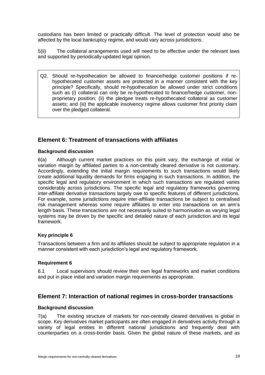custodians has been limited or practically difficult. The level of protection would also be affected by the local bankruptcy regime, and would vary across jurisdictions.

5(ii) The collateral arrangements used will need to be effective under the relevant laws and supported by periodically-updated legal opinion.

Q2. Should re-hypothecation be allowed to finance/hedge customer positions if rehypothecated customer assets are protected in a manner consistent with the key principle? Specifically, should re-hypothecation be allowed under strict conditions such as (i) collateral can only be re-hypothecated to finance/hedge customer, nonproprietary position; (ii) the pledgee treats re-hypothecated collateral as customer assets; and (iii) the applicable insolvency regime allows customer first priority claim over the pledged collateral.

# <span id="page-28-0"></span>**Element 6: Treatment of transactions with affiliates**

### **Background discussion**

6(a) Although current market practices on this point vary, the exchange of initial or variation margin by affiliated parties to a non-centrally cleared derivative is not customary. Accordingly, extending the initial margin requirements to such transactions would likely create additional liquidity demands for firms engaging in such transactions. In addition, the specific legal and regulatory environment in which such transactions are regulated varies considerably across jurisdictions. The specific legal and regulatory frameworks governing inter-affiliate derivative transactions largely owe to specific features of different jurisdictions. For example, some jurisdictions require inter-affiliate transactions be subject to centralised risk management whereas some require affiliates to enter into transactions on an arm's length basis. These transactions are not necessarily suited to harmonisation as varying legal systems may be driven by the specific and detailed nature of each jurisdiction and its legal framework.

## **Key principle 6**

Transactions between a firm and its affiliates should be subject to appropriate regulation in a manner consistent with each jurisdiction's legal and regulatory framework.

### **Requirement 6**

6.1 Local supervisors should review their own legal frameworks and market conditions and put in place initial and variation margin requirements as appropriate.

# <span id="page-28-1"></span>**Element 7: Interaction of national regimes in cross-border transactions**

### **Background discussion**

7(a) The existing structure of markets for non-centrally cleared derivatives is global in scope. Key derivatives market participants are often engaged in derivatives activity through a variety of legal entities in different national jurisdictions and frequently deal with counterparties on a cross-border basis. Given the global nature of these markets, and as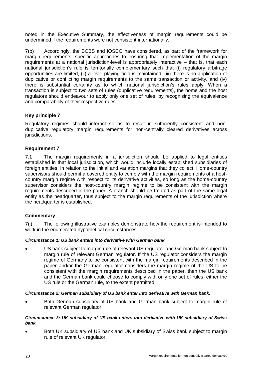noted in the Executive Summary, the effectiveness of margin requirements could be undermined if the requirements were not consistent internationally.

7(b) Accordingly, the BCBS and IOSCO have considered, as part of the framework for margin requirements, specific approaches to ensuring that implementation of the margin requirements at a national jurisdiction-level is appropriately interactive – that is, that each national jurisdiction's rule is territorially complementary such that (i) regulatory arbitrage opportunities are limited, (ii) a level playing field is maintained, (iii) there is no application of duplicative or conflicting margin requirements to the same transaction or activity, and (iv) there is substantial certainty as to which national jurisdiction's rules apply. When a transaction is subject to two sets of rules (duplicative requirements), the home and the host regulators should endeavour to apply only one set of rules, by recognising the equivalence and comparability of their respective rules.

## **Key principle 7**

Regulatory regimes should interact so as to result in sufficiently consistent and nonduplicative regulatory margin requirements for non-centrally cleared derivatives across jurisdictions.

## **Requirement 7**

7.1 The margin requirements in a jurisdiction should be applied to legal entities established in that local jurisdiction, which would include locally established subsidiaries of foreign entities, in relation to the initial and variation margins that they collect. Home-country supervisors should permit a covered entity to comply with the margin requirements of a hostcountry margin regime with respect to its derivative activities, so long as the home-country supervisor considers the host-country margin regime to be consistent with the margin requirements described in the paper. A branch should be treated as part of the same legal entity as the headquarter, thus subject to the margin requirements of the jurisdiction where the headquarter is established.

## **Commentary**

7(i) The following illustrative examples demonstrate how the requirement is intended to work in the enumerated hypothetical circumstances:

### *Circumstance 1: US bank enters into derivative with German bank.*

 US bank subject to margin rule of relevant US regulator and German bank subject to margin rule of relevant German regulator. If the US regulator considers the margin regime of Germany to be consistent with the margin requirements described in the paper and/or the German regulator considers the margin regime of the US to be consistent with the margin requirements described in the paper, then the US bank and the German bank could choose to comply with only one set of rules, either the US rule or the German rule, to the extent permitted.

### *Circumstance 2: German subsidiary of US bank enter into derivative with German bank.*

 Both German subsidiary of US bank and German bank subject to margin rule of relevant German regulator.

#### *Circumstance 3: UK subsidiary of US bank enters into derivative with UK subsidiary of Swiss bank.*

 Both UK subsidiary of US bank and UK subsidiary of Swiss bank subject to margin rule of relevant UK regulator.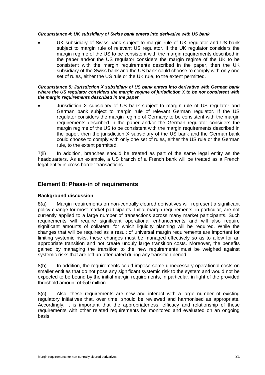#### *Circumstance 4: UK subsidiary of Swiss bank enters into derivative with US bank.*

 UK subsidiary of Swiss bank subject to margin rule of UK regulator and US bank subject to margin rule of relevant US regulator. If the UK regulator considers the margin regime of the US to be consistent with the margin requirements described in the paper and/or the US regulator considers the margin regime of the UK to be consistent with the margin requirements described in the paper, then the UK subsidiary of the Swiss bank and the US bank could choose to comply with only one set of rules, either the US rule or the UK rule, to the extent permitted.

#### *Circumstance 5: Jurisdiction X subsidiary of US bank enters into derivative with German bank where the US regulator considers the margin regime of jurisdiction X to be not consistent with the margin requirements described in the paper.*

 Jurisdiction X subsidiary of US bank subject to margin rule of US regulator and German bank subject to margin rule of relevant German regulator. If the US regulator considers the margin regime of Germany to be consistent with the margin requirements described in the paper and/or the German regulator considers the margin regime of the US to be consistent with the margin requirements described in the paper, then the jurisdiction X subsidiary of the US bank and the German bank could choose to comply with only one set of rules, either the US rule or the German rule, to the extent permitted.

7(ii) In addition, branches should be treated as part of the same legal entity as the headquarters. As an example, a US branch of a French bank will be treated as a French legal entity in cross border transactions.

## <span id="page-30-0"></span>**Element 8: Phase-in of requirements**

### **Background discussion**

8(a) Margin requirements on non-centrally cleared derivatives will represent a significant policy change for most market participants. Initial margin requirements, in particular, are not currently applied to a large number of transactions across many market participants. Such requirements will require significant operational enhancements and will also require significant amounts of collateral for which liquidity planning will be required. While the changes that will be required as a result of universal margin requirements are important for limiting systemic risks, these changes must be managed effectively so as to allow for an appropriate transition and not create unduly large transition costs. Moreover, the benefits gained by managing the transition to the new requirements must be weighed against systemic risks that are left un-attenuated during any transition period.

8(b) In addition, the requirements could impose some unnecessary operational costs on smaller entities that do not pose any significant systemic risk to the system and would not be expected to be bound by the initial margin requirements, in particular, in light of the provided threshold amount of €50 million.

8(c) Also, these requirements are new and interact with a large number of existing regulatory initiatives that, over time, should be reviewed and harmonised as appropriate. Accordingly, it is important that the appropriateness, efficacy and relationship of these requirements with other related requirements be monitored and evaluated on an ongoing basis.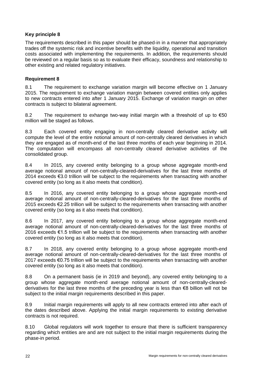## **Key principle 8**

The requirements described in this paper should be phased-in in a manner that appropriately trades off the systemic risk and incentive benefits with the liquidity, operational and transition costs associated with implementing the requirements. In addition, the requirements should be reviewed on a regular basis so as to evaluate their efficacy, soundness and relationship to other existing and related regulatory initiatives.

## **Requirement 8**

8.1 The requirement to exchange variation margin will become effective on 1 January 2015. The requirement to exchange variation margin between covered entities only applies to new contracts entered into after 1 January 2015. Exchange of variation margin on other contracts is subject to bilateral agreement.

8.2 The requirement to exhange two-way initial margin with a threshold of up to  $\epsilon$ 50 million will be staged as follows.

8.3 Each covered entity engaging in non-centrally cleared derivative activity will compute the level of the entire notional amount of non-centrally cleared derivatives in which they are engaged as of month-end of the last three months of each year beginning in 2014. The computation will encompass all non-centrally cleared derivative activities of the consolidated group.

8.4 In 2015, any covered entity belonging to a group whose aggregate month-end average notional amount of non-centrally-cleared-derivatives for the last three months of 2014 exceeds €3.0 trillion will be subject to the requirements when transacting with another covered entity (so long as it also meets that condition).

8.5 In 2016, any covered entity belonging to a group whose aggregate month-end average notional amount of non-centrally-cleared-derivatives for the last three months of 2015 exceeds €2.25 trillion will be subject to the requirements when transacting with another covered entity (so long as it also meets that condition).

8.6 In 2017, any covered entity belonging to a group whose aggregate month-end average notional amount of non-centrally-cleared-derivatives for the last three months of 2016 exceeds €1.5 trillion will be subject to the requirements when transacting with another covered entity (so long as it also meets that condition).

8.7 In 2018, any covered entity belonging to a group whose aggregate month-end average notional amount of non-centrally-cleared-derivatives for the last three months of 2017 exceeds €0.75 trillion will be subject to the requirements when transacting with another covered entity (so long as it also meets that condition).

8.8 On a permanent basis (ie in 2019 and beyond), any covered entity belonging to a group whose aggregate month-end average notional amount of non-centrally-clearedderivatives for the last three months of the preceding year is less than €8 billion will not be subject to the initial margin requirements described in this paper.

8.9 Initial margin requirements will apply to all new contracts entered into after each of the dates described above. Applying the initial margin requirements to existing derivative contracts is not required.

8.10 Global regulators will work together to ensure that there is sufficient transparency regarding which entities are and are not subject to the initial margin requirements during the phase-in period.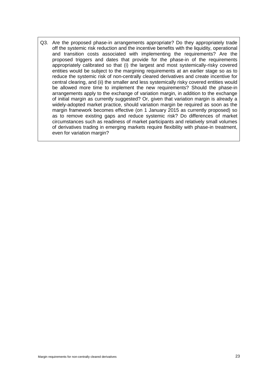Q3. Are the proposed phase-in arrangements appropriate? Do they appropriately trade off the systemic risk reduction and the incentive benefits with the liquidity, operational and transition costs associated with implementing the requirements? Are the proposed triggers and dates that provide for the phase-in of the requirements appropriately calibrated so that (i) the largest and most systemically-risky covered entities would be subject to the margining requirements at an earlier stage so as to reduce the systemic risk of non-centrally cleared derivatives and create incentive for central clearing, and (ii) the smaller and less systemically risky covered entities would be allowed more time to implement the new requirements? Should the phase-in arrangements apply to the exchange of variation margin, in addition to the exchange of initial margin as currently suggested? Or, given that variation margin is already a widely-adopted market practice, should variation margin be required as soon as the margin framework becomes effective (on 1 January 2015 as currently proposed) so as to remove existing gaps and reduce systemic risk? Do differences of market circumstances such as readiness of market participants and relatively small volumes of derivatives trading in emerging markets require flexibility with phase-in treatment, even for variation margin?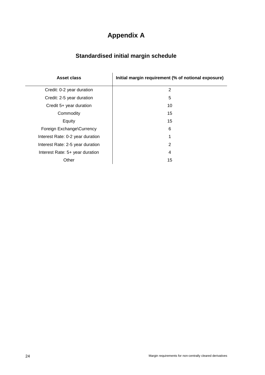# **Appendix A**

# **Standardised initial margin schedule**

<span id="page-33-1"></span><span id="page-33-0"></span>

| Asset class                      | Initial margin requirement (% of notional exposure) |
|----------------------------------|-----------------------------------------------------|
| Credit: 0-2 year duration        | 2                                                   |
| Credit: 2-5 year duration        | 5                                                   |
| Credit 5+ year duration          | 10                                                  |
| Commodity                        | 15                                                  |
| Equity                           | 15                                                  |
| Foreign Exchange\Currency        | 6                                                   |
| Interest Rate: 0-2 year duration | 1                                                   |
| Interest Rate: 2-5 year duration | 2                                                   |
| Interest Rate: 5+ year duration  | 4                                                   |
| Other                            | 15                                                  |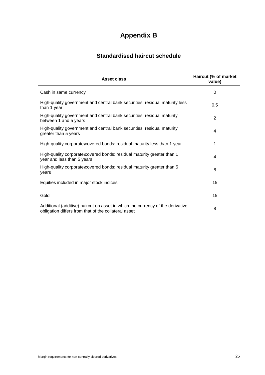# **Appendix B**

# **Standardised haircut schedule**

<span id="page-34-1"></span><span id="page-34-0"></span>

| Asset class                                                                                                                            | Haircut (% of market<br>value) |
|----------------------------------------------------------------------------------------------------------------------------------------|--------------------------------|
| Cash in same currency                                                                                                                  | $\Omega$                       |
| High-quality government and central bank securities: residual maturity less<br>than 1 year                                             | 0.5                            |
| High-quality government and central bank securities: residual maturity<br>between 1 and 5 years                                        | $\overline{2}$                 |
| High-quality government and central bank securities: residual maturity<br>greater than 5 years                                         | 4                              |
| High-quality corporate\covered bonds: residual maturity less than 1 year                                                               | 1                              |
| High-quality corporate\covered bonds: residual maturity greater than 1<br>year and less than 5 years                                   | 4                              |
| High-quality corporate\covered bonds: residual maturity greater than 5<br>years                                                        | 8                              |
| Equities included in major stock indices                                                                                               | 15                             |
| Gold                                                                                                                                   | 15                             |
| Additional (additive) haircut on asset in which the currency of the derivative<br>obligation differs from that of the collateral asset | 8                              |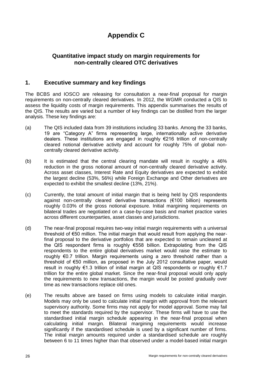# **Appendix C**

# <span id="page-35-0"></span>**Quantitative impact study on margin requirements for non-centrally cleared OTC derivatives**

# <span id="page-35-1"></span>**1. Executive summary and key findings**

The BCBS and IOSCO are releasing for consultation a near-final proposal for margin requirements on non-centrally cleared derivatives. In 2012, the WGMR conducted a QIS to assess the liquidity costs of margin requirements. This appendix summarises the results of the QIS. The results are varied but a number of key findings can be distilled from the larger analysis. These key findings are:

- (a) The QIS included data from 39 institutions including 33 banks. Among the 33 banks, 19 are "Category A" firms representing large, internationally active derivative dealers. These institutions are engaged in roughly €216 trillion of non-centrally cleared notional derivative activity and account for roughly 75% of global noncentrally cleared derivative activity.
- (b) It is estimated that the central clearing mandate will result in roughly a 46% reduction in the gross notional amount of non-centrally cleared derivative activity. Across asset classes, Interest Rate and Equity derivatives are expected to exhibit the largest decline (53%, 56%) while Foreign Exchange and Other derivatives are expected to exhibit the smallest decline (13%, 21%).
- (c) Currently, the total amount of initial margin that is being held by QIS respondents against non-centrally cleared derivative transactions (€100 billion) represents roughly 0.03% of the gross notional exposure. Initial margining requirements on bilateral trades are negotiated on a case-by-case basis and market practice varies across different counterparties, asset classes and jurisdictions.
- (d) The near-final proposal requires two-way initial margin requirements with a universal threshold of €50 million. The initial margin that would result from applying the nearfinal proposal to the derivative portfolios that are expected to remain uncleared at the QIS respondent firms is roughly €558 billion. Extrapolating from the QIS respondents to the entire global derivatives market would raise the estimate to roughly €0.7 trillion. Margin requirements using a zero threshold rather than a threshold of €50 million, as proposed in the July 2012 consultative paper, would result in roughly €1.3 trillion of initial margin at QIS respondents or roughly €1.7 trillion for the entire global market. Since the near-final proposal would only apply the requirements to new transactions, the margin would be posted gradually over time as new transactions replace old ones.
- (e) The results above are based on firms using models to calculate initial margin. Models may only be used to calculate initial margin with approval from the relevant supervisory authority. Some firms may not apply for model approval. Some may fail to meet the standards required by the supervisor. These firms will have to use the standardised initial margin schedule appearing in the near-final proposal when calculating initial margin. Bilateral margining requirements would increase significantly if the standardised schedule is used by a significant number of firms. The initial margin amounts required under a standardised schedule are roughly between 6 to 11 times higher than that observed under a model-based initial margin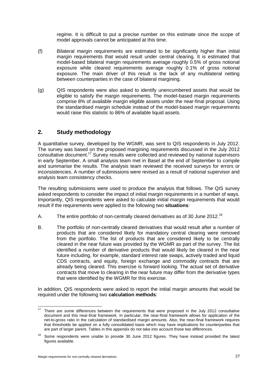regime. It is difficult to put a precise number on this estimate since the scope of model approvals cannot be anticipated at this time.

- (f) Bilateral margin requirements are estimated to be significantly higher than initial margin requirements that would result under central clearing. It is estimated that model-based bilateral margin requirements average roughly 0.5% of gross notional exposure while cleared requirements average roughly 0.1% of gross notional exposure. The main driver of this result is the lack of any multilateral netting between counterparties in the case of bilateral margining.
- (g) QIS respondents were also asked to identify unencumbered assets that would be eligible to satisfy the margin requirements. The model-based margin requirements comprise 8% of available margin eligible assets under the near-final proposal. Using the standardised margin schedule instead of the model-based margin requirements would raise this statistic to 86% of available liquid assets.

# **2. Study methodology**

A quantitative survey, developed by the WGMR, was sent to QIS respondents in July 2012. The survey was based on the proposed margining requirements discussed in the July 2012 consultative document.<sup>17</sup> Survey results were collected and reviewed by national supervisors in early September. A small analysis team met in Basel at the end of September to compile and summarise the results. The analysis team reviewed the received surveys for errors or inconsistencies. A number of submissions were revised as a result of national supervisor and analysis team consistency checks.

The resulting submissions were used to produce the analysis that follows. The QIS survey asked respondents to consider the impact of initial margin requirements in a number of ways. Importantly, QIS respondents were asked to calculate initial margin requirements that would result if the requirements were applied to the following two **situations**:

- A. The entire portfolio of non-centrally cleared derivatives as of 30 June 2012.<sup>18</sup>
- B. The portfolio of non-centrally cleared derivatives that would result after a number of products that are considered likely for mandatory central clearing were removed from the portfolio. The list of products that are considered likely to be centrally cleared in the near future was provided by the WGMR as part of the survey. The list identified a number of derivative products that would likely be cleared in the near future including, for example, standard interest rate swaps, actively traded and liquid CDS contracts, and equity, foreign exchange and commodity contracts that are already being cleared. This exercise is forward looking. The actual set of derivative contracts that move to clearing in the near future may differ from the derivative types that were identified by the WGMR for this exercise.

In addition, QIS respondents were asked to report the initial margin amounts that would be required under the following two **calculation methods**:

 $17$ There are some differences between the requirements that were proposed in the July 2012 consultative document and this near-final framework. In particular, the near-final framework allows for application of the net-to-gross ratio in the calculation of standardised margin amounts. Also, the near-final framework requires that thresholds be applied on a fully consolidated basis which may have implications for counterparties that are part of larger parent. Tables in this appendix do not take into account those two differences.

<sup>&</sup>lt;sup>18</sup> Some respondents were unable to provide 30 June 2012 figures. They have instead provided the latest figures available.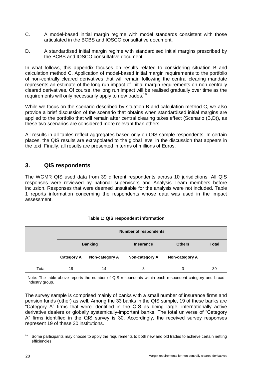- C. A model-based initial margin regime with model standards consistent with those articulated in the BCBS and IOSCO consultative document.
- D. A standardised initial margin regime with standardised initial margins prescribed by the BCBS and IOSCO consultative document.

In what follows, this appendix focuses on results related to considering situation B and calculation method C. Application of model-based initial margin requirements to the portfolio of non-centrally cleared derivatives that will remain following the central clearing mandate represents an estimate of the long run impact of initial margin requirements on non-centrally cleared derivatives. Of course, the long run impact will be realised gradually over time as the requirements will only necessarily apply to new trades.<sup>19</sup>

While we focus on the scenario described by situation B and calculation method C, we also provide a brief discussion of the scenario that obtains when standardised initial margins are applied to the portfolio that will remain after central clearing takes effect (Scenario (B,D)), as these two scenarios are considered more relevant than others.

All results in all tables reflect aggregates based only on QIS sample respondents. In certain places, the QIS results are extrapolated to the global level in the discussion that appears in the text. Finally, all results are presented in terms of millions of Euros.

# **3. QIS respondents**

The WGMR QIS used data from 39 different respondents across 10 jurisdictions. All QIS responses were reviewed by national supervisors and Analysis Team members before inclusion. Responses that were deemed unsuitable for the analysis were not included. Table 1 reports information concerning the respondents whose data was used in the impact assessment.

### **Table 1: QIS respondent information**

|       | <b>Number of respondents</b> |                |                  |                |              |  |  |
|-------|------------------------------|----------------|------------------|----------------|--------------|--|--|
|       | <b>Banking</b>               |                | <b>Insurance</b> | <b>Others</b>  | <b>Total</b> |  |  |
|       | <b>Category A</b>            | Non-category A | Non-category A   | Non-category A |              |  |  |
| Total | 19                           | 14             | 3                | 3              | 39           |  |  |

Note: The table above reports the number of QIS respondents within each respondent category and broad industry group.

The survey sample is comprised mainly of banks with a small number of insurance firms and pension funds (other) as well. Among the 33 banks in the QIS sample, 19 of these banks are "Category A" firms that were identified in the QIS as being large, internationally active derivative dealers or globally systemically-important banks. The total universe of "Category A" firms identified in the QIS survey is 30. Accordingly, the received survey responses represent 19 of these 30 institutions.

<sup>19</sup> Some participants may choose to apply the requirements to both new and old trades to achieve certain netting efficiencies.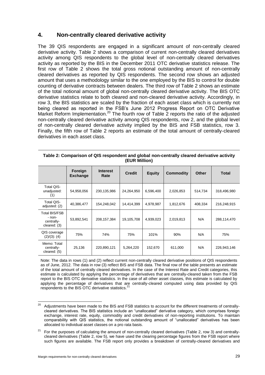# **4. Non-centrally cleared derivative activity**

The 39 QIS respondents are engaged in a significant amount of non-centrally cleared derivative activity. Table 2 shows a comparison of current non-centrally cleared derivatives activity among QIS respondents to the global level of non-centrally cleared derivatives activity as reported by the BIS in the December 2011 OTC derivative statistics release. The first row of Table 2 shows the total gross notional outstanding amount of non-centrally cleared derivatives as reported by QIS respondents. The second row shows an adjusted amount that uses a methodology similar to the one employed by the BIS to control for double counting of derivative contracts between dealers. The third row of Table 2 shows an estimate of the total notional amount of global non-centrally cleared derivative activity. The BIS OTC derivative statistics relate to both cleared and non-cleared derivative activity. Accordingly, in row 3, the BIS statistics are scaled by the fraction of each asset class which is currently not being cleared as reported in the FSB's June 2012 Progress Report on OTC Derivative Market Reform Implementation.<sup>20</sup> The fourth row of Table 2 reports the ratio of the adjusted non-centrally cleared derivative activity among QIS respondents, row 2, and the global level of non-centrally cleared derivative activity implied by the BIS and FSB statistics, row 3. Finally, the fifth row of Table 2 reports an estimate of the total amount of centrally-cleared derivatives in each asset class.

|                                                              | Foreign<br><b>Exchange</b> | <b>Interest</b><br>Rate | <b>Credit</b> | <b>Equity</b> | <b>Commodity</b> | <b>Other</b> | Total       |
|--------------------------------------------------------------|----------------------------|-------------------------|---------------|---------------|------------------|--------------|-------------|
| <b>Total QIS-</b><br>unadjusted:<br>(1)                      | 54,958,056                 | 230,135,986             | 24,264,950    | 6,596,400     | 2,026,853        | 514,734      | 318,496,980 |
| <b>Total QIS-</b><br>adjusted: (2)                           | 40,386,477                 | 154,248,042             | 14,414,399    | 4,978,987     | 1,812,676        | 408,334      | 216,248,915 |
| <b>Total BIS/FSB</b><br>- non-<br>centrally-<br>cleared: (3) | 53,892,541                 | 208,157,384             | 19,105,708    | 4,939,023     | 2,019,813        | N/A          | 288,114,470 |
| QIS coverage<br>$(2)/(3)$ : (4)                              | 75%                        | 74%                     | 75%           | 101%          | 90%              | N/A          | 75%         |
| Memo: Total<br>centrally-<br>cleared: $(5)$                  | 25,136                     | 220,890,121             | 5,264,220     | 152,670       | 611,000          | N/A          | 226,943,146 |

**Table 2: Comparison of QIS respondent and global non-centrally cleared derivative activity (EUR Million)**

Note: The data in rows (1) and (2) reflect current non-centrally cleared derivative positions of QIS respondents as of June, 2012. The data in row (3) reflect BIS and FSB data. The final row of the table presents an estimate of the total amount of centrally cleared derivatives. In the case of the Interest Rate and Credit categories, this estimate is calculated by applying the percentage of derivatives that are centrally-cleared taken from the FSB report to the BIS OTC derivative statistics. In the case of all other asset classes, this estimate is calculated by applying the percentage of derivatives that are centrally-cleared computed using data provided by QIS respondents to the BIS OTC derivative statistics.<sup>2</sup>

<sup>20</sup> Adjustments have been made to the BIS and FSB statistics to account for the different treatments of centrallycleared derivatives. The BIS statistics include an "unallocated" derivative category, which comprises foreign exchange, interest rate, equity, commodity and credit derivatives of non-reporting institutions. To maintain comparability with QIS statistics, the notional outstanding amount of "unallocated" derivatives has been allocated to individual asset classes on a pro rata basis.

 $21$  For the purposes of calculating the amount of non-centrally cleared derivatives (Table 2, row 3) and centrallycleared derivatives (Table 2, row 5), we have used the clearing percentage figures from the FSB report where such figures are available. The FSB report only provides a breakdown of centrally-cleared derivatives and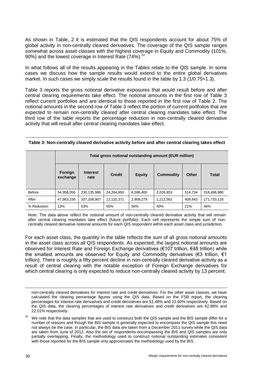As shown in Table, 2 it is estimated that the QIS respondents account for about 75% of global activity in non-centrally cleared derivatives. The coverage of the QIS sample ranges somewhat across asset classes with the highest coverage in Equity and Commodity (101%, 90%) and the lowest coverage in Interest Rate  $(74%)$ .<sup>22</sup>

In what follows all of the results appearing in the Tables relate to the QIS sample. In some cases we discuss how the sample results would extend to the entire global derivatives market. In such cases we simply scale the results found in the table by 1.3 (1/0.75=1.3).

Table 3 reports the gross notional derivative exposures that would result before and after central clearing requirements take effect. The notional amounts in the first row of Table 3 reflect current portfolios and are identical to those reported in the first row of Table 2. The notional amounts in the second row of Table 3 reflect the portion of current portfolios that are expected to remain non-centrally cleared after central clearing mandates take effect. The third row of the table reports the percentage reduction in non-centrally cleared derivative activity that will result after central clearing mandates take effect.

|               | Total gross notional outstanding amount (EUR million) |                         |               |               |           |              |              |
|---------------|-------------------------------------------------------|-------------------------|---------------|---------------|-----------|--------------|--------------|
|               | Foreign<br>exchange                                   | <b>Interest</b><br>rate | <b>Credit</b> | <b>Equity</b> | Commodity | <b>Other</b> | <b>Total</b> |
| <b>Before</b> | 54,958,056                                            | 230,135,986             | 24,264,950    | 6,596,400     | 2,026,853 | 514.734      | 318,496,980  |
| After         | 47,863,156                                            | 107,208,907             | 12,132,371    | 2,908,279     | 1,211,562 | 408.843      | 171,733,118  |
| % Reduction   | 13%                                                   | 53%                     | 50%           | 56%           | 40%       | 21%          | 46%          |

**Table 3: Non-centrally cleared derivative activity before and after central clearing takes effect**

Note: The data above reflect the notional amount of non-centrally cleared derivative activity that will remain after central clearing mandates take effect (future portfolio). Each cell represents the simple sum of noncentrally cleared derivative notional amounts for each QIS respondent within each asset class and jurisdiction.

For each asset class, the quantity in the table reflects the sum of all gross notional amounts in the asset class across all QIS respondents. As expected, the largest notional amounts are observed for Interest Rate and Foreign Exchange derivatives (€107 trillion, €48 trillion) while the smallest amounts are observed for Equity and Commodity derivatives ( $\epsilon$ 3 trillion,  $\epsilon$ 1 trillion). There is roughly a fifty percent decline in non-centrally cleared derivative activity as a result of central clearing with the notable exception of Foreign Exchange derivatives for which central clearing is only expected to reduce non-centrally cleared activity by 13 percent.

-

non-centrally cleared derivatives for interest rate and credit derivatives. For the other asset classes, we have calculated the clearing percentage figures using the QIS data. Based on the FSB report, the clearing percentages for interest rate derivatives and credit derivatives are 51.48% and 21.60% respectively. Based on the QIS data, the clearing percentages of interest rate derivatives and credit derivatives are 62.88% and 22.01% respectively.

 $22$  We note that the data samples that are used to construct both the QIS sample and the BIS sample differ for a number of reasons and though the BIS sample is generally expected to encompass the QIS sample this need not always be the case. In particular, the BIS data are taken from a December 2011 survey while the QIS data are taken from June of 2012. Also the set of respondents encompassing the BIS and QIS samples are only partially overlapping. Finally, the methodology used to construct notional outstanding estimates consistent with those reported for the BIS sample only approximates the methodology used by the BIS.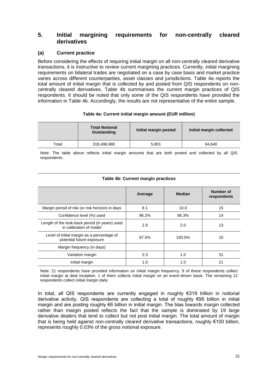## **5. Initial margining requirements for non-centrally cleared derivatives**

### **(a) Current practice**

Before considering the effects of requiring initial margin on all non-centrally cleared derivative transactions, it is instructive to review current margining practices. Currently, initial margining requirements on bilateral trades are negotiated on a case by case basis and market practice varies across different counterparties, asset classes and jurisdictions. Table 4a reports the total amount of initial margin that is collected by and posted from QIS respondents on noncentrally cleared derivatives. Table 4b summarises the current margin practices of QIS respondents. It should be noted that only some of the QIS respondents have provided the information in Table 4b. Accordingly, the results are not representative of the entire sample.

#### **Table 4a: Current initial margin amount (EUR million)**

|             | <b>Total Notional</b><br><b>Outstanding</b> | Initial margin posted | Initial margin collected |
|-------------|---------------------------------------------|-----------------------|--------------------------|
| $\tau$ otal | 318,496,980                                 | 5,801                 | 94.640                   |

Note: The table above reflects initial margin amounts that are both posted and collected by all QIS respondents.

|                                                                           | Average | <b>Median</b> | Number of<br>respondents |
|---------------------------------------------------------------------------|---------|---------------|--------------------------|
| Margin period of risk (or risk horizon) in days                           | 8.1     | 10.0          | 15                       |
| Confidence level (%) used                                                 | 96.2%   | 96.3%         | 14                       |
| Length of the look-back period (in years) used<br>in calibration of model | 2.9     | 2.0           | 13                       |
| Level of initial margin as a percentage of<br>potential future exposure   | 97.5%   | 100.0%        | 10                       |
| Margin frequency (in days)                                                |         |               |                          |
| Variation margin                                                          | 2.3     | 1.0           | 31                       |
| Initial margin                                                            | 1.0     | 1.0           | 21                       |

### **Table 4b: Current margin practices**

Note: 21 respondents have provided information on initial margin frequency. 8 of these respondents collect initial margin at deal inception. 1 of them collects initial margin on an event-driven basis. The remaining 12 respondents collect initial margin daily.

In total, all QIS respondents are currently engaged in roughly €319 trillion in notional derivative activity. QIS respondents are collecting a total of roughly €95 billion in initial margin and are posting roughly €6 billion in initial margin. The bias towards margin collected rather than margin posted reflects the fact that the sample is dominated by 19 large derivative dealers that tend to collect but not post initial margin. The total amount of margin that is being held against non-centrally cleared derivative transactions, roughly €100 billion, represents roughly 0.03% of the gross notional exposure.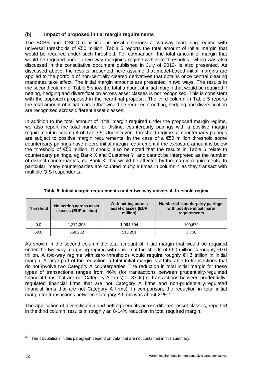## **(b) Impact of proposed initial margin requirements**

The BCBS and IOSCO near-final proposal envisions a two-way margining regime with universal thresholds of €50 million. Table 5 reports the total amount of initial margin that would be required under such threshold. For comparison, the total amount of margin that would be required under a two-way margining regime with zero thresholds –which was also discussed in the consultative document published in July of 2012- is also presented. As discussed above, the results presented here assume that model-based initial margins are applied to the portfolio of non-centrally cleared derivatives that obtains once central clearing mandates take effect. The initial margin amounts are presented in two ways. The results in the second column of Table 5 show the total amount of initial margin that would be required if netting, hedging and diversification across asset classes is not recognised. This is consistent with the approach proposed in the near-final proposal. The third column in Table 5 reports the total amount of initial margin that would be required if netting, hedging and diversification are recognised across different asset classes.

In addition to the total amount of initial margin required under the proposed margin regime, we also report the total number of distinct counterparty pairings with a positive margin requirement in column 4 of Table 5. Under a zero threshold regime all counterparty pairings are subject to positive margin requirements. In the case of a  $\epsilon$ 50 million threshold some counterparty pairings have a zero initial margin requirement if the exposure amount is below the threshold of €50 million. It should also be noted that the results in Table 5 relate to counterparty pairings, eg Bank X and Customer Y, and cannot be interpreted as the number of distinct counterparties, eg Bank X, that would be affected by the margin requirements. In particular, many counterparties are counted multiple times in column 4 as they transact with multiple QIS respondents.

| <b>Threshold</b> | No netting across asset<br>classes (EUR million) | With netting across<br>asset classes (EUR<br>million) | Number of 'counterparty pairings'<br>with positive initial marin<br>requirements |
|------------------|--------------------------------------------------|-------------------------------------------------------|----------------------------------------------------------------------------------|
| 0.0              | 1,271,393                                        | 1.094.594                                             | 100,672                                                                          |
| 50.0             | 558,232                                          | 513,261                                               | 3.730                                                                            |

**Table 5: Initial margin requirements under two-way universal threshold regime**

As shown in the second column the total amount of initial margin that would be required under the two-way margining regime with universal thresholds of €50 million is roughly €0.6 trillion. A two-way regime with zero thresholds would require roughly €1.3 trillion in initial margin. A large part of the reduction in total initial margin is attributable to transactions that do not involve two Category A counterparties. The reduction in total initial margin for these types of transactions ranges from 46% (for transactions between prudentially-regulated financial firms that are not Category A firms) to 87% (for transactions between prudentiallyregulated financial firms that are not Category A firms and non-prudentially-regulated financial firms that are not Category A firms). In comparison, the reduction in total initial margin for transactions between Category A firms was about 21%.<sup>23</sup>

The application of diversification and netting benefits across different asset classes, reported in the third column, results in roughly an 8-14% reduction in total required margin.

<sup>-</sup> $23$  The calculations in this paragraph depend on data that are not contained in this summary.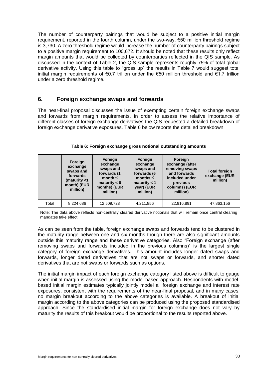The number of counterparty pairings that would be subject to a positive initial margin requirement, reported in the fourth column, under the two-way, €50 million threshold regime is 3,730. A zero threshold regime would increase the number of counterparty pairings subject to a positive margin requirement to 100,672. It should be noted that these results only reflect margin amounts that would be collected by counterparties reflected in the QIS sample. As discussed in the context of Table 2, the QIS sample represents roughly 75% of total global derivative activity. Using this table to "gross up" the results in Table 7 would suggest total initial margin requirements of €0.7 trillion under the €50 million threshold and €1.7 trillion under a zero threshold regime.

## **6. Foreign exchange swaps and forwards**

The near-final proposal discusses the issue of exempting certain foreign exchange swaps and forwards from margin requirements. In order to assess the relative importance of different classes of foreign exchange derivatives the QIS requested a detailed breakdown of foreign exchange derivative exposures. Table 6 below reports the detailed breakdown.

|       | Foreign<br>exchange<br>swaps and<br>forwards<br>(maturity <1<br>month) (EUR<br>million) | Foreign<br>exchange<br>swaps and<br>forwards (1<br>month $\leq$<br>maturity $< 6$<br>months) (EUR<br>million) | Foreign<br>exchange<br>swaps and<br>forwards (6<br>months $\leq$<br>maturity $<$ 1<br>year) (EUR<br>million) | Foreign<br>exchange (after<br>removing swaps<br>and forwards<br>included under<br>previous<br>columns) (EUR<br>million) | <b>Total foreign</b><br>exchange (EUR<br>million) |
|-------|-----------------------------------------------------------------------------------------|---------------------------------------------------------------------------------------------------------------|--------------------------------------------------------------------------------------------------------------|-------------------------------------------------------------------------------------------------------------------------|---------------------------------------------------|
| Total | 8,224,686                                                                               | 12,509,723                                                                                                    | 4,211,856                                                                                                    | 22,916,891                                                                                                              | 47,863,156                                        |

#### **Table 6: Foreign exchange gross notional outstanding amounts**

Note: The data above reflects non-centrally cleared derivative notionals that will remain once central clearing mandates take effect.

As can be seen from the table, foreign exchange swaps and forwards tend to be clustered in the maturity range between one and six months though there are also significant amounts outside this maturity range and these derivative categories. Also "Foreign exchange (after removing swaps and forwards included in the previous columns)" is the largest single category of foreign exchange derivatives. This amount includes longer dated swaps and forwards, longer dated derivatives that are not swaps or forwards, and shorter dated derivatives that are not swaps or forwards such as options.

The initial margin impact of each foreign exchange category listed above is difficult to gauge when initial margin is assessed using the model-based approach. Respondents with modelbased initial margin estimates typically jointly model all foreign exchange and interest rate exposures, consistent with the requirements of the near-final proposal, and in many cases, no margin breakout according to the above categories is available. A breakout of initial margin according to the above categories can be produced using the proposed standardised approach. Since the standardised initial margin for foreign exchange does not vary by maturity the results of this breakout would be proportional to the results reported above.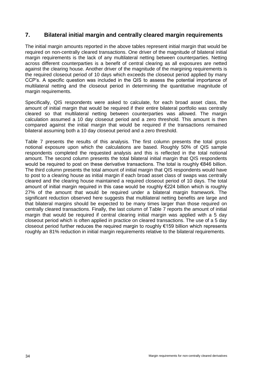# **7. Bilateral initial margin and centrally cleared margin requirements**

The initial margin amounts reported in the above tables represent initial margin that would be required on non-centrally cleared transactions. One driver of the magnitude of bilateral initial margin requirements is the lack of any multilateral netting between counterparties. Netting across different counterparties is a benefit of central clearing as all exposures are netted against the clearing house. Another driver of the magnitude of the margining requirements is the required closeout period of 10 days which exceeds the closeout period applied by many CCP's. A specific question was included in the QIS to assess the potential importance of multilateral netting and the closeout period in determining the quantitative magnitude of margin requirements.

Specifically, QIS respondents were asked to calculate, for each broad asset class, the amount of initial margin that would be required if their entire bilateral portfolio was centrally cleared so that multilateral netting between counterparties was allowed. The margin calculation assumed a 10 day closeout period and a zero threshold. This amount is then compared against the initial margin that would be required if the transactions remained bilateral assuming both a 10 day closeout period and a zero threshold.

Table 7 presents the results of this analysis. The first column presents the total gross notional exposure upon which the calculations are based. Roughly 50% of QIS sample respondents completed the requested analysis and this is reflected in the total notional amount. The second column presents the total bilateral initial margin that QIS respondents would be required to post on these derivative transactions. The total is roughly €846 billion. The third column presents the total amount of initial margin that QIS respondents would have to post to a clearing house as initial margin if each broad asset class of swaps was centrally cleared and the clearing house maintained a required closeout period of 10 days. The total amount of initial margin required in this case would be roughly €224 billion which is roughly 27% of the amount that would be required under a bilateral margin framework. The significant reduction observed here suggests that multilateral netting benefits are large and that bilateral margins should be expected to be many times larger than those required on centrally cleared transactions. Finally, the last column of Table 7 reports the amount of initial margin that would be required if central clearing initial margin was applied with a 5 day closeout period which is often applied in practice on cleared transactions. The use of a 5 day closeout period further reduces the required margin to roughly €159 billion which represents roughly an 81% reduction in initial margin requirements relative to the bilateral requirements.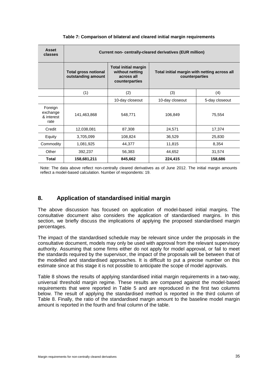| <b>Asset</b><br>classes                   | Current non- centrally-cleared derivatives (EUR million) |                                                                                |                                                                |                |  |  |
|-------------------------------------------|----------------------------------------------------------|--------------------------------------------------------------------------------|----------------------------------------------------------------|----------------|--|--|
|                                           | <b>Total gross notional</b><br>outstanding amount        | <b>Total initial margin</b><br>without netting<br>across all<br>counterparties | Total initial margin with netting across all<br>counterparties |                |  |  |
|                                           | (1)                                                      | (2)                                                                            | (3)                                                            | (4)            |  |  |
|                                           |                                                          | 10-day closeout                                                                | 10-day closeout                                                | 5-day closeout |  |  |
| Foreign<br>exchange<br>& interest<br>rate | 141,463,868                                              | 548,771                                                                        | 106,849                                                        | 75,554         |  |  |
| Credit                                    | 12,038,081                                               | 87,308                                                                         | 24,571                                                         | 17,374         |  |  |
| Equity                                    | 3,705,099                                                | 108,824                                                                        | 36,529                                                         | 25,830         |  |  |
| Commodity                                 | 1,081,925                                                | 44,377                                                                         | 11,815                                                         | 8,354          |  |  |
| Other                                     | 392,237                                                  | 56,383                                                                         | 44,652                                                         | 31,574         |  |  |
| Total                                     | 158,681,211                                              | 845,662                                                                        | 224,415                                                        | 158,686        |  |  |

#### **Table 7: Comparison of bilateral and cleared initial margin requirements**

Note: The data above reflect non-centrally cleared derivatives as of June 2012. The initial margin amounts reflect a model-based calculation. Number of respondents: 19.

# **8. Application of standardised initial margin**

The above discussion has focused on application of model-based initial margins. The consultative document also considers the application of standardised margins. In this section, we briefly discuss the implications of applying the proposed standardised margin percentages.

The impact of the standardised schedule may be relevant since under the proposals in the consultative document, models may only be used with approval from the relevant supervisory authority. Assuming that some firms either do not apply for model approval, or fail to meet the standards required by the supervisor, the impact of the proposals will be between that of the modelled and standardised approaches. It is difficult to put a precise number on this estimate since at this stage it is not possible to anticipate the scope of model approvals.

Table 8 shows the results of applying standardised initial margin requirements in a two-way, universal threshold margin regime. These results are compared against the model-based requirements that were reported in Table 5 and are reproduced in the first two columns below. The result of applying the standardised method is reported in the third column of Table 8. Finally, the ratio of the standardised margin amount to the baseline model margin amount is reported in the fourth and final column of the table.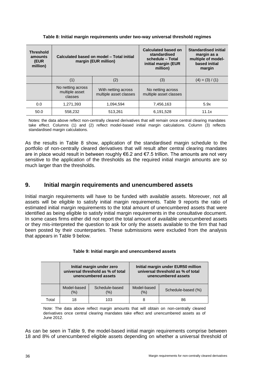| <b>Threshold</b><br>amounts<br>(EUR<br>million) | Calculated based on model - Total initial<br>margin (EUR million) |                                               | <b>Calculated based on</b><br>standardised<br>schedule - Total<br>initial margin (EUR<br>million) | <b>Standardised initial</b><br>margin as a<br>multiple of model-<br>based initial<br>margin |
|-------------------------------------------------|-------------------------------------------------------------------|-----------------------------------------------|---------------------------------------------------------------------------------------------------|---------------------------------------------------------------------------------------------|
|                                                 | (1)                                                               | (2)                                           | (3)                                                                                               | $(4) = (3) / (1)$                                                                           |
|                                                 | No netting across<br>multiple asset<br>classes                    | With netting across<br>multiple asset classes | No netting across<br>multiple asset classes                                                       |                                                                                             |
| 0.0                                             | 1,271,393                                                         | 1,094,594                                     | 7,456,163                                                                                         | 5.9x                                                                                        |
| 50.0                                            | 558.232                                                           | 513.261                                       | 6,191,528                                                                                         | 11.1x                                                                                       |

#### **Table 8: Initial margin requirements under two-way universal threshold regimes**

Notes: the data above reflect non-centrally cleared derivatives that will remain once central clearing mandates take effect. Columns (1) and (2) reflect model-based initial margin calculations. Column (3) reflects standardised margin calculations.

As the results in Table 8 show, application of the standardised margin schedule to the portfolio of non-centrally cleared derivatives that will result after central clearing mandates are in place would result in between roughly €6.2 and €7.5 trillion. The amounts are not very sensitive to the application of the thresholds as the required initial margin amounts are so much larger than the thresholds.

# **9. Initial margin requirements and unencumbered assets**

Initial margin requirements will have to be funded with available assets. Moreover, not all assets will be eligible to satisfy initial margin requirements. Table 9 reports the ratio of estimated initial margin requirements to the total amount of unencumbered assets that were identified as being eligible to satisfy initial margin requirements in the consultative document. In some cases firms either did not report the total amount of available unencumbered assets or they mis-interpreted the question to ask for only the assets available to the firm that had been posted by their counterparties. These submissions were excluded from the analysis that appears in Table 9 below.

|       | Initial margin under zero<br>universal threshold as % of total<br>unencumbered assets |                       | Initial margin under EUR50 million<br>universal threshold as % of total<br>unencumbered assets |                    |
|-------|---------------------------------------------------------------------------------------|-----------------------|------------------------------------------------------------------------------------------------|--------------------|
|       | Model-based<br>(%)                                                                    | Schedule-based<br>(%) | Model-based<br>(% )                                                                            | Schedule-based (%) |
| Total | 18                                                                                    | 103                   | 8                                                                                              | 86                 |

### **Table 9: Initial margin and unencumbered assets**

Note: The data above reflect margin amounts that will obtain on non-centrally cleared derivatives once central clearing mandates take effect and unencumbered assets as of June 2012.

As can be seen in Table 9, the model-based initial margin requirements comprise between 18 and 8% of unencumbered eligible assets depending on whether a universal threshold of